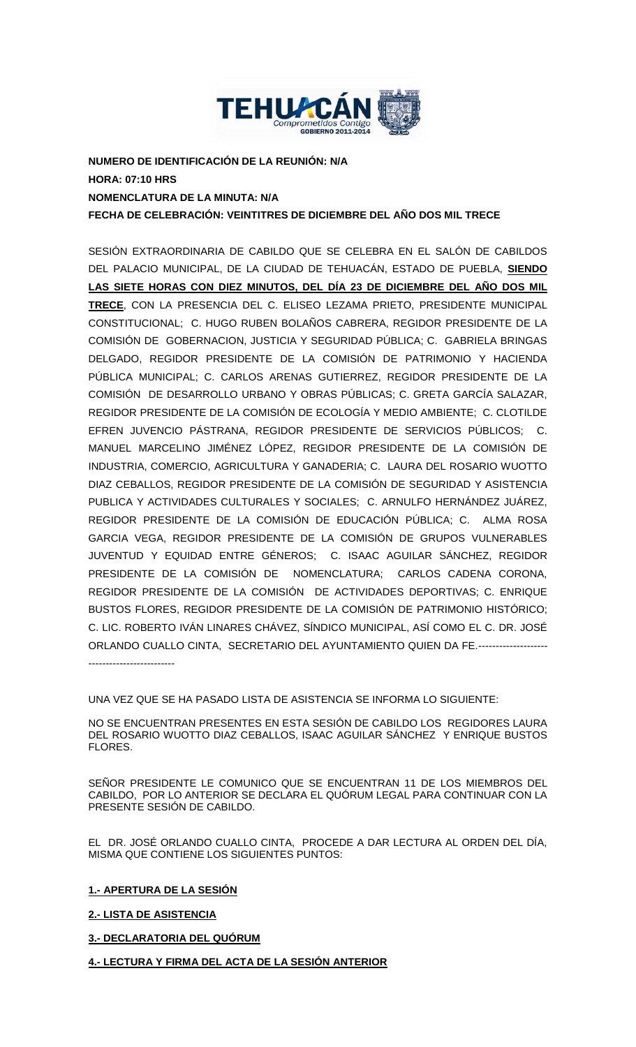

**NUMERO DE IDENTIFICACIÓN DE LA REUNIÓN: N/A HORA: 07:10 HRS NOMENCLATURA DE LA MINUTA: N/A FECHA DE CELEBRACIÓN: VEINTITRES DE DICIEMBRE DEL AÑO DOS MIL TRECE**

SESIÓN EXTRAORDINARIA DE CABILDO QUE SE CELEBRA EN EL SALÓN DE CABILDOS DEL PALACIO MUNICIPAL, DE LA CIUDAD DE TEHUACÁN, ESTADO DE PUEBLA, **SIENDO LAS SIETE HORAS CON DIEZ MINUTOS, DEL DÍA 23 DE DICIEMBRE DEL AÑO DOS MIL TRECE**, CON LA PRESENCIA DEL C. ELISEO LEZAMA PRIETO, PRESIDENTE MUNICIPAL CONSTITUCIONAL; C. HUGO RUBEN BOLAÑOS CABRERA, REGIDOR PRESIDENTE DE LA COMISIÓN DE GOBERNACION, JUSTICIA Y SEGURIDAD PÚBLICA; C. GABRIELA BRINGAS DELGADO, REGIDOR PRESIDENTE DE LA COMISIÓN DE PATRIMONIO Y HACIENDA PÚBLICA MUNICIPAL; C. CARLOS ARENAS GUTIERREZ, REGIDOR PRESIDENTE DE LA COMISIÓN DE DESARROLLO URBANO Y OBRAS PÚBLICAS; C. GRETA GARCÍA SALAZAR, REGIDOR PRESIDENTE DE LA COMISIÓN DE ECOLOGÍA Y MEDIO AMBIENTE; C. CLOTILDE EFREN JUVENCIO PÁSTRANA, REGIDOR PRESIDENTE DE SERVICIOS PÚBLICOS; C. MANUEL MARCELINO JIMÉNEZ LÓPEZ, REGIDOR PRESIDENTE DE LA COMISIÓN DE INDUSTRIA, COMERCIO, AGRICULTURA Y GANADERIA; C. LAURA DEL ROSARIO WUOTTO DIAZ CEBALLOS, REGIDOR PRESIDENTE DE LA COMISIÓN DE SEGURIDAD Y ASISTENCIA PUBLICA Y ACTIVIDADES CULTURALES Y SOCIALES; C. ARNULFO HERNÁNDEZ JUÁREZ, REGIDOR PRESIDENTE DE LA COMISIÓN DE EDUCACIÓN PÚBLICA; C. ALMA ROSA GARCIA VEGA, REGIDOR PRESIDENTE DE LA COMISIÓN DE GRUPOS VULNERABLES JUVENTUD Y EQUIDAD ENTRE GÉNEROS; C. ISAAC AGUILAR SÁNCHEZ, REGIDOR PRESIDENTE DE LA COMISIÓN DE NOMENCLATURA; CARLOS CADENA CORONA, REGIDOR PRESIDENTE DE LA COMISIÓN DE ACTIVIDADES DEPORTIVAS; C. ENRIQUE BUSTOS FLORES, REGIDOR PRESIDENTE DE LA COMISIÓN DE PATRIMONIO HISTÓRICO; C. LIC. ROBERTO IVÁN LINARES CHÁVEZ, SÍNDICO MUNICIPAL, ASÍ COMO EL C. DR. JOSÉ ORLANDO CUALLO CINTA, SECRETARIO DEL AYUNTAMIENTO QUIEN DA FE.-------------------- -------------------------

UNA VEZ QUE SE HA PASADO LISTA DE ASISTENCIA SE INFORMA LO SIGUIENTE:

NO SE ENCUENTRAN PRESENTES EN ESTA SESIÓN DE CABILDO LOS REGIDORES LAURA DEL ROSARIO WUOTTO DIAZ CEBALLOS, ISAAC AGUILAR SÁNCHEZ Y ENRIQUE BUSTOS FLORES.

SEÑOR PRESIDENTE LE COMUNICO QUE SE ENCUENTRAN 11 DE LOS MIEMBROS DEL CABILDO, POR LO ANTERIOR SE DECLARA EL QUÓRUM LEGAL PARA CONTINUAR CON LA PRESENTE SESIÓN DE CABILDO.

EL DR. JOSÉ ORLANDO CUALLO CINTA, PROCEDE A DAR LECTURA AL ORDEN DEL DÍA, MISMA QUE CONTIENE LOS SIGUIENTES PUNTOS:

**1.- APERTURA DE LA SESIÓN**

**2.- LISTA DE ASISTENCIA**

# **3.- DECLARATORIA DEL QUÓRUM**

**4.- LECTURA Y FIRMA DEL ACTA DE LA SESIÓN ANTERIOR**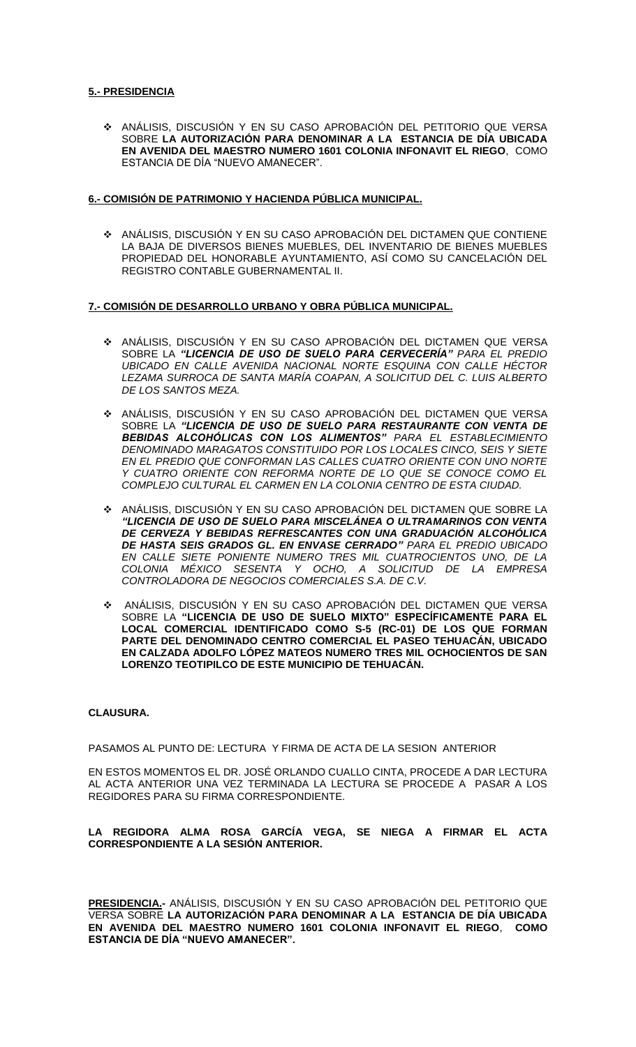### **5.- PRESIDENCIA**

 ANÁLISIS, DISCUSIÓN Y EN SU CASO APROBACIÓN DEL PETITORIO QUE VERSA SOBRE **LA AUTORIZACIÓN PARA DENOMINAR A LA ESTANCIA DE DÍA UBICADA EN AVENIDA DEL MAESTRO NUMERO 1601 COLONIA INFONAVIT EL RIEGO**, COMO ESTANCIA DE DÍA "NUEVO AMANECER".

### **6.- COMISIÓN DE PATRIMONIO Y HACIENDA PÚBLICA MUNICIPAL.**

 ANÁLISIS, DISCUSIÓN Y EN SU CASO APROBACIÓN DEL DICTAMEN QUE CONTIENE LA BAJA DE DIVERSOS BIENES MUEBLES, DEL INVENTARIO DE BIENES MUEBLES PROPIEDAD DEL HONORABLE AYUNTAMIENTO, ASÍ COMO SU CANCELACIÓN DEL REGISTRO CONTABLE GUBERNAMENTAL II.

### **7.- COMISIÓN DE DESARROLLO URBANO Y OBRA PÚBLICA MUNICIPAL.**

- ANÁLISIS, DISCUSIÓN Y EN SU CASO APROBACIÓN DEL DICTAMEN QUE VERSA SOBRE LA *"LICENCIA DE USO DE SUELO PARA CERVECERÍA" PARA EL PREDIO UBICADO EN CALLE AVENIDA NACIONAL NORTE ESQUINA CON CALLE HÉCTOR LEZAMA SURROCA DE SANTA MARÍA COAPAN, A SOLICITUD DEL C. LUIS ALBERTO DE LOS SANTOS MEZA.*
- ANÁLISIS, DISCUSIÓN Y EN SU CASO APROBACIÓN DEL DICTAMEN QUE VERSA SOBRE LA "LICENCIA DE USO DE SUELO PARA RESTAURANTE CON VENTA DE *BEBIDAS ALCOHÓLICAS CON LOS ALIMENTOS" PARA EL ESTABLECIMIENTO DENOMINADO MARAGATOS CONSTITUIDO POR LOS LOCALES CINCO, SEIS Y SIETE EN EL PREDIO QUE CONFORMAN LAS CALLES CUATRO ORIENTE CON UNO NORTE Y CUATRO ORIENTE CON REFORMA NORTE DE LO QUE SE CONOCE COMO EL COMPLEJO CULTURAL EL CARMEN EN LA COLONIA CENTRO DE ESTA CIUDAD.*
- ANÁLISIS, DISCUSIÓN Y EN SU CASO APROBACIÓN DEL DICTAMEN QUE SOBRE LA *"LICENCIA DE USO DE SUELO PARA MISCELÁNEA O ULTRAMARINOS CON VENTA DE CERVEZA Y BEBIDAS REFRESCANTES CON UNA GRADUACIÓN ALCOHÓLICA DE HASTA SEIS GRADOS GL. EN ENVASE CERRADO" PARA EL PREDIO UBICADO EN CALLE SIETE PONIENTE NUMERO TRES MIL CUATROCIENTOS UNO, DE LA COLONIA MÉXICO SESENTA Y OCHO, A SOLICITUD DE LA EMPRESA CONTROLADORA DE NEGOCIOS COMERCIALES S.A. DE C.V.*
- ANÁLISIS, DISCUSIÓN Y EN SU CASO APROBACIÓN DEL DICTAMEN QUE VERSA SOBRE LA **"LICENCIA DE USO DE SUELO MIXTO" ESPECÍFICAMENTE PARA EL LOCAL COMERCIAL IDENTIFICADO COMO S-5 (RC-01) DE LOS QUE FORMAN PARTE DEL DENOMINADO CENTRO COMERCIAL EL PASEO TEHUACÁN, UBICADO EN CALZADA ADOLFO LÓPEZ MATEOS NUMERO TRES MIL OCHOCIENTOS DE SAN LORENZO TEOTIPILCO DE ESTE MUNICIPIO DE TEHUACÁN.**

### **CLAUSURA.**

PASAMOS AL PUNTO DE: LECTURA Y FIRMA DE ACTA DE LA SESION ANTERIOR

EN ESTOS MOMENTOS EL DR. JOSÉ ORLANDO CUALLO CINTA, PROCEDE A DAR LECTURA AL ACTA ANTERIOR UNA VEZ TERMINADA LA LECTURA SE PROCEDE A PASAR A LOS REGIDORES PARA SU FIRMA CORRESPONDIENTE.

**LA REGIDORA ALMA ROSA GARCÍA VEGA, SE NIEGA A FIRMAR EL ACTA CORRESPONDIENTE A LA SESIÓN ANTERIOR.** 

**PRESIDENCIA.-** ANÁLISIS, DISCUSIÓN Y EN SU CASO APROBACIÓN DEL PETITORIO QUE VERSA SOBRE **LA AUTORIZACIÓN PARA DENOMINAR A LA ESTANCIA DE DÍA UBICADA EN AVENIDA DEL MAESTRO NUMERO 1601 COLONIA INFONAVIT EL RIEGO**, **COMO ESTANCIA DE DÍA "NUEVO AMANECER".**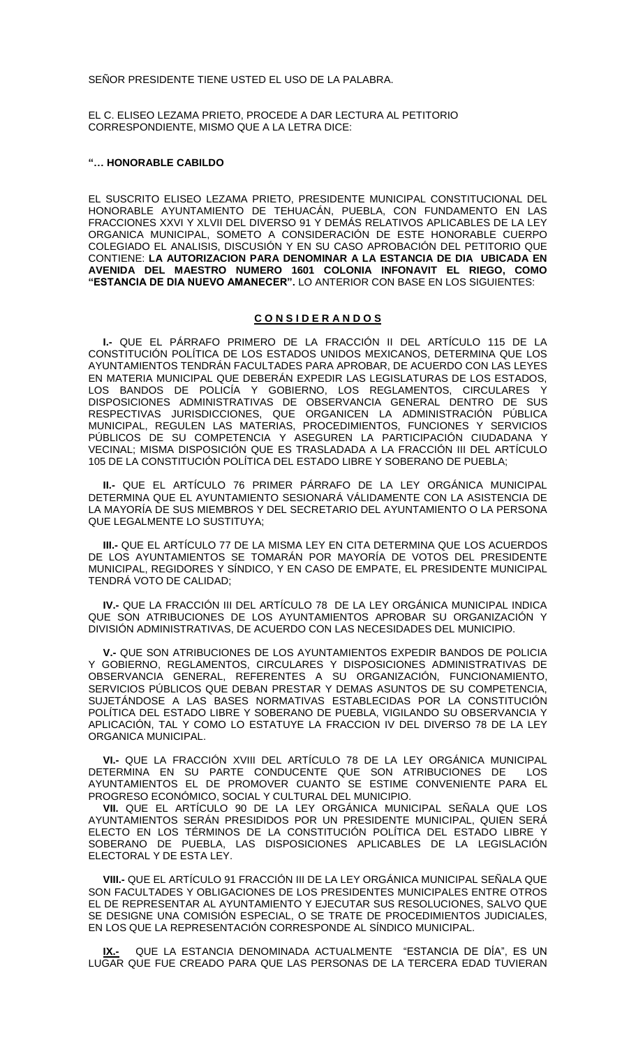SEÑOR PRESIDENTE TIENE USTED EL USO DE LA PALABRA.

EL C. ELISEO LEZAMA PRIETO, PROCEDE A DAR LECTURA AL PETITORIO CORRESPONDIENTE, MISMO QUE A LA LETRA DICE:

#### **"… HONORABLE CABILDO**

EL SUSCRITO ELISEO LEZAMA PRIETO, PRESIDENTE MUNICIPAL CONSTITUCIONAL DEL HONORABLE AYUNTAMIENTO DE TEHUACÁN, PUEBLA, CON FUNDAMENTO EN LAS FRACCIONES XXVI Y XLVII DEL DIVERSO 91 Y DEMÁS RELATIVOS APLICABLES DE LA LEY ORGANICA MUNICIPAL, SOMETO A CONSIDERACIÓN DE ESTE HONORABLE CUERPO COLEGIADO EL ANALISIS, DISCUSIÓN Y EN SU CASO APROBACIÓN DEL PETITORIO QUE CONTIENE: **LA AUTORIZACION PARA DENOMINAR A LA ESTANCIA DE DIA UBICADA EN AVENIDA DEL MAESTRO NUMERO 1601 COLONIA INFONAVIT EL RIEGO, COMO "ESTANCIA DE DIA NUEVO AMANECER".** LO ANTERIOR CON BASE EN LOS SIGUIENTES:

### **C O N S I D E R A N D O S**

**I.-** QUE EL PÁRRAFO PRIMERO DE LA FRACCIÓN II DEL ARTÍCULO 115 DE LA CONSTITUCIÓN POLÍTICA DE LOS ESTADOS UNIDOS MEXICANOS, DETERMINA QUE LOS AYUNTAMIENTOS TENDRÁN FACULTADES PARA APROBAR, DE ACUERDO CON LAS LEYES EN MATERIA MUNICIPAL QUE DEBERÁN EXPEDIR LAS LEGISLATURAS DE LOS ESTADOS, LOS BANDOS DE POLICÍA Y GOBIERNO, LOS REGLAMENTOS, CIRCULARES DISPOSICIONES ADMINISTRATIVAS DE OBSERVANCIA GENERAL DENTRO DE SUS RESPECTIVAS JURISDICCIONES, QUE ORGANICEN LA ADMINISTRACIÓN PÚBLICA MUNICIPAL, REGULEN LAS MATERIAS, PROCEDIMIENTOS, FUNCIONES Y SERVICIOS PÚBLICOS DE SU COMPETENCIA Y ASEGUREN LA PARTICIPACIÓN CIUDADANA Y VECINAL; MISMA DISPOSICIÓN QUE ES TRASLADADA A LA FRACCIÓN III DEL ARTÍCULO 105 DE LA CONSTITUCIÓN POLÍTICA DEL ESTADO LIBRE Y SOBERANO DE PUEBLA;

**II.-** QUE EL ARTÍCULO 76 PRIMER PÁRRAFO DE LA LEY ORGÁNICA MUNICIPAL DETERMINA QUE EL AYUNTAMIENTO SESIONARÁ VÁLIDAMENTE CON LA ASISTENCIA DE LA MAYORÍA DE SUS MIEMBROS Y DEL SECRETARIO DEL AYUNTAMIENTO O LA PERSONA QUE LEGALMENTE LO SUSTITUYA;

**III.-** QUE EL ARTÍCULO 77 DE LA MISMA LEY EN CITA DETERMINA QUE LOS ACUERDOS DE LOS AYUNTAMIENTOS SE TOMARÁN POR MAYORÍA DE VOTOS DEL PRESIDENTE MUNICIPAL, REGIDORES Y SÍNDICO, Y EN CASO DE EMPATE, EL PRESIDENTE MUNICIPAL TENDRÁ VOTO DE CALIDAD;

**IV.-** QUE LA FRACCIÓN III DEL ARTÍCULO 78 DE LA LEY ORGÁNICA MUNICIPAL INDICA QUE SON ATRIBUCIONES DE LOS AYUNTAMIENTOS APROBAR SU ORGANIZACIÓN Y DIVISIÓN ADMINISTRATIVAS, DE ACUERDO CON LAS NECESIDADES DEL MUNICIPIO.

**V.-** QUE SON ATRIBUCIONES DE LOS AYUNTAMIENTOS EXPEDIR BANDOS DE POLICIA Y GOBIERNO, REGLAMENTOS, CIRCULARES Y DISPOSICIONES ADMINISTRATIVAS DE OBSERVANCIA GENERAL, REFERENTES A SU ORGANIZACIÓN, FUNCIONAMIENTO, SERVICIOS PÚBLICOS QUE DEBAN PRESTAR Y DEMAS ASUNTOS DE SU COMPETENCIA, SUJETÁNDOSE A LAS BASES NORMATIVAS ESTABLECIDAS POR LA CONSTITUCIÓN POLÍTICA DEL ESTADO LIBRE Y SOBERANO DE PUEBLA, VIGILANDO SU OBSERVANCIA Y APLICACIÓN, TAL Y COMO LO ESTATUYE LA FRACCION IV DEL DIVERSO 78 DE LA LEY ORGANICA MUNICIPAL.

**VI.-** QUE LA FRACCIÓN XVIII DEL ARTÍCULO 78 DE LA LEY ORGÁNICA MUNICIPAL DETERMINA EN SU PARTE CONDUCENTE QUE SON ATRIBUCIONES DE LOS AYUNTAMIENTOS EL DE PROMOVER CUANTO SE ESTIME CONVENIENTE PARA EL PROGRESO ECONÓMICO, SOCIAL Y CULTURAL DEL MUNICIPIO.

**VII.** QUE EL ARTÍCULO 90 DE LA LEY ORGÁNICA MUNICIPAL SEÑALA QUE LOS AYUNTAMIENTOS SERÁN PRESIDIDOS POR UN PRESIDENTE MUNICIPAL, QUIEN SERÁ ELECTO EN LOS TÉRMINOS DE LA CONSTITUCIÓN POLÍTICA DEL ESTADO LIBRE Y SOBERANO DE PUEBLA, LAS DISPOSICIONES APLICABLES DE LA LEGISLACIÓN ELECTORAL Y DE ESTA LEY.

**VIII.-** QUE EL ARTÍCULO 91 FRACCIÓN III DE LA LEY ORGÁNICA MUNICIPAL SEÑALA QUE SON FACULTADES Y OBLIGACIONES DE LOS PRESIDENTES MUNICIPALES ENTRE OTROS EL DE REPRESENTAR AL AYUNTAMIENTO Y EJECUTAR SUS RESOLUCIONES, SALVO QUE SE DESIGNE UNA COMISIÓN ESPECIAL, O SE TRATE DE PROCEDIMIENTOS JUDICIALES, EN LOS QUE LA REPRESENTACIÓN CORRESPONDE AL SÍNDICO MUNICIPAL.

**IX.-** QUE LA ESTANCIA DENOMINADA ACTUALMENTE "ESTANCIA DE DÍA", ES UN LUGAR QUE FUE CREADO PARA QUE LAS PERSONAS DE LA TERCERA EDAD TUVIERAN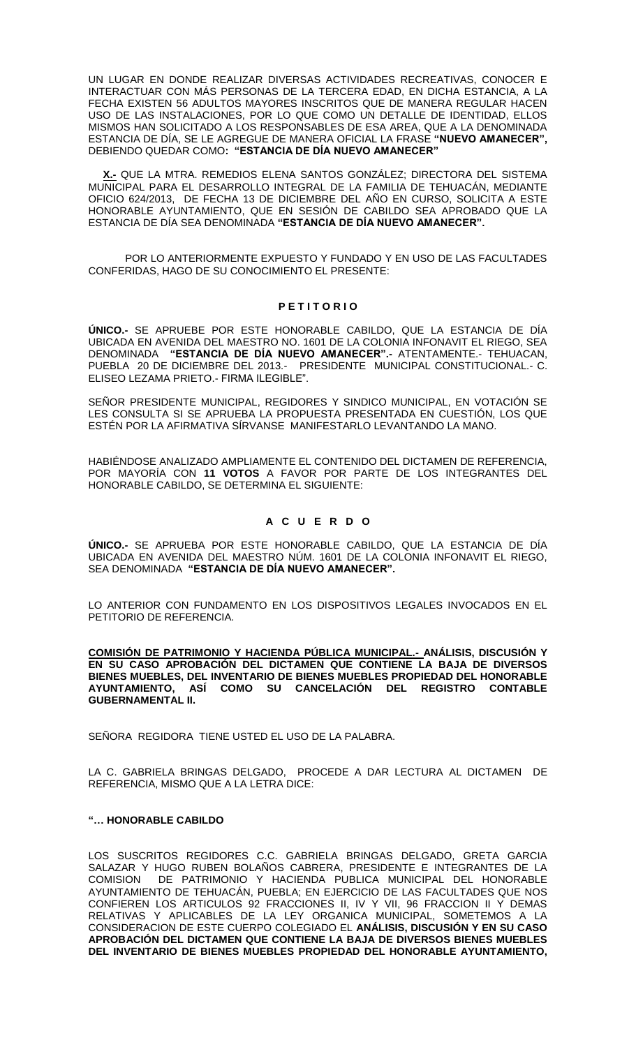UN LUGAR EN DONDE REALIZAR DIVERSAS ACTIVIDADES RECREATIVAS, CONOCER E INTERACTUAR CON MÁS PERSONAS DE LA TERCERA EDAD, EN DICHA ESTANCIA, A LA FECHA EXISTEN 56 ADULTOS MAYORES INSCRITOS QUE DE MANERA REGULAR HACEN USO DE LAS INSTALACIONES, POR LO QUE COMO UN DETALLE DE IDENTIDAD, ELLOS MISMOS HAN SOLICITADO A LOS RESPONSABLES DE ESA AREA, QUE A LA DENOMINADA ESTANCIA DE DÍA, SE LE AGREGUE DE MANERA OFICIAL LA FRASE **"NUEVO AMANECER",** DEBIENDO QUEDAR COMO**: "ESTANCIA DE DÍA NUEVO AMANECER"** 

**X.-** QUE LA MTRA. REMEDIOS ELENA SANTOS GONZÁLEZ; DIRECTORA DEL SISTEMA MUNICIPAL PARA EL DESARROLLO INTEGRAL DE LA FAMILIA DE TEHUACÁN, MEDIANTE OFICIO 624/2013, DE FECHA 13 DE DICIEMBRE DEL AÑO EN CURSO, SOLICITA A ESTE HONORABLE AYUNTAMIENTO, QUE EN SESIÓN DE CABILDO SEA APROBADO QUE LA ESTANCIA DE DÍA SEA DENOMINADA **"ESTANCIA DE DÍA NUEVO AMANECER".**

POR LO ANTERIORMENTE EXPUESTO Y FUNDADO Y EN USO DE LAS FACULTADES CONFERIDAS, HAGO DE SU CONOCIMIENTO EL PRESENTE:

### **P E T I T O R I O**

**ÚNICO.-** SE APRUEBE POR ESTE HONORABLE CABILDO, QUE LA ESTANCIA DE DÍA UBICADA EN AVENIDA DEL MAESTRO NO. 1601 DE LA COLONIA INFONAVIT EL RIEGO, SEA DENOMINADA **"ESTANCIA DE DÍA NUEVO AMANECER".-** ATENTAMENTE.- TEHUACAN, PUEBLA 20 DE DICIEMBRE DEL 2013.- PRESIDENTE MUNICIPAL CONSTITUCIONAL.- C. ELISEO LEZAMA PRIETO.- FIRMA ILEGIBLE".

SEÑOR PRESIDENTE MUNICIPAL, REGIDORES Y SINDICO MUNICIPAL, EN VOTACIÓN SE LES CONSULTA SI SE APRUEBA LA PROPUESTA PRESENTADA EN CUESTIÓN, LOS QUE ESTÉN POR LA AFIRMATIVA SÍRVANSE MANIFESTARLO LEVANTANDO LA MANO.

HABIÉNDOSE ANALIZADO AMPLIAMENTE EL CONTENIDO DEL DICTAMEN DE REFERENCIA, POR MAYORÍA CON **11 VOTOS** A FAVOR POR PARTE DE LOS INTEGRANTES DEL HONORABLE CABILDO, SE DETERMINA EL SIGUIENTE:

# **A C U E R D O**

**ÚNICO.-** SE APRUEBA POR ESTE HONORABLE CABILDO, QUE LA ESTANCIA DE DÍA UBICADA EN AVENIDA DEL MAESTRO NÚM. 1601 DE LA COLONIA INFONAVIT EL RIEGO, SEA DENOMINADA **"ESTANCIA DE DÍA NUEVO AMANECER".**

LO ANTERIOR CON FUNDAMENTO EN LOS DISPOSITIVOS LEGALES INVOCADOS EN EL PETITORIO DE REFERENCIA.

**COMISIÓN DE PATRIMONIO Y HACIENDA PÚBLICA MUNICIPAL.- ANÁLISIS, DISCUSIÓN Y EN SU CASO APROBACIÓN DEL DICTAMEN QUE CONTIENE LA BAJA DE DIVERSOS BIENES MUEBLES, DEL INVENTARIO DE BIENES MUEBLES PROPIEDAD DEL HONORABLE AYUNTAMIENTO, ASÍ COMO SU CANCELACIÓN DEL REGISTRO CONTABLE GUBERNAMENTAL II.**

SEÑORA REGIDORA TIENE USTED EL USO DE LA PALABRA.

LA C. GABRIELA BRINGAS DELGADO, PROCEDE A DAR LECTURA AL DICTAMEN DE REFERENCIA, MISMO QUE A LA LETRA DICE:

### **"… HONORABLE CABILDO**

LOS SUSCRITOS REGIDORES C.C. GABRIELA BRINGAS DELGADO, GRETA GARCIA SALAZAR Y HUGO RUBEN BOLAÑOS CABRERA, PRESIDENTE E INTEGRANTES DE LA COMISION DE PATRIMONIO Y HACIENDA PUBLICA MUNICIPAL DEL HONORABLE AYUNTAMIENTO DE TEHUACÁN, PUEBLA; EN EJERCICIO DE LAS FACULTADES QUE NOS CONFIEREN LOS ARTICULOS 92 FRACCIONES II, IV Y VII, 96 FRACCION II Y DEMAS RELATIVAS Y APLICABLES DE LA LEY ORGANICA MUNICIPAL, SOMETEMOS A LA CONSIDERACION DE ESTE CUERPO COLEGIADO EL **ANÁLISIS, DISCUSIÓN Y EN SU CASO APROBACIÓN DEL DICTAMEN QUE CONTIENE LA BAJA DE DIVERSOS BIENES MUEBLES DEL INVENTARIO DE BIENES MUEBLES PROPIEDAD DEL HONORABLE AYUNTAMIENTO,**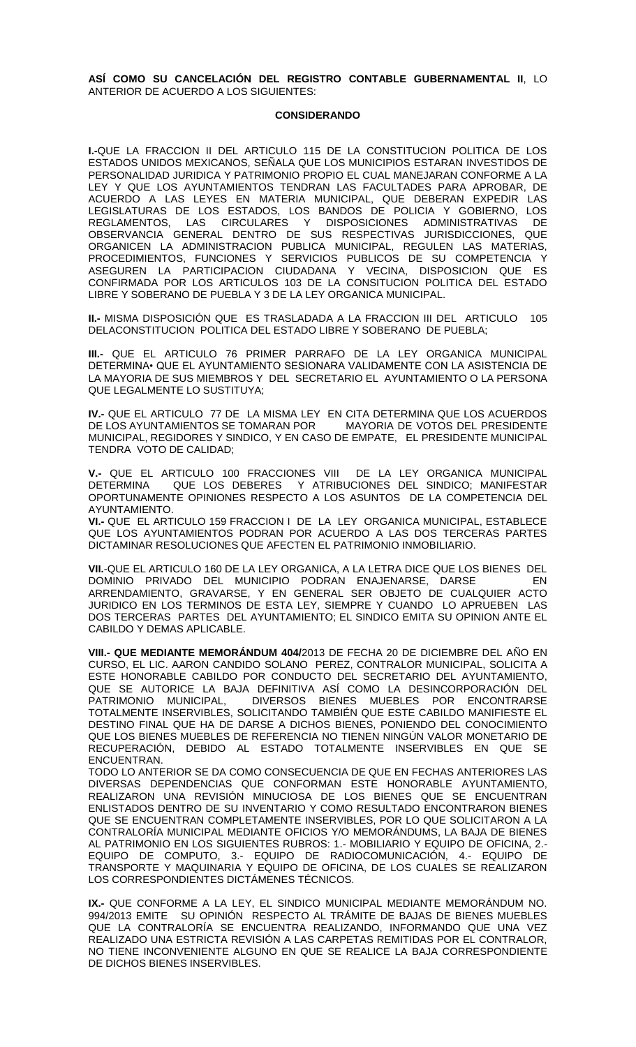**ASÍ COMO SU CANCELACIÓN DEL REGISTRO CONTABLE GUBERNAMENTAL II**, LO ANTERIOR DE ACUERDO A LOS SIGUIENTES:

### **CONSIDERANDO**

**I.-**QUE LA FRACCION II DEL ARTICULO 115 DE LA CONSTITUCION POLITICA DE LOS ESTADOS UNIDOS MEXICANOS, SEÑALA QUE LOS MUNICIPIOS ESTARAN INVESTIDOS DE PERSONALIDAD JURIDICA Y PATRIMONIO PROPIO EL CUAL MANEJARAN CONFORME A LA LEY Y QUE LOS AYUNTAMIENTOS TENDRAN LAS FACULTADES PARA APROBAR, DE ACUERDO A LAS LEYES EN MATERIA MUNICIPAL, QUE DEBERAN EXPEDIR LAS LEGISLATURAS DE LOS ESTADOS, LOS BANDOS DE POLICIA Y GOBIERNO, LOS REGLAMENTOS, LAS CIRCULARES Y DISPOSICIONES ADMINISTRATIVAS DE OBSERVANCIA GENERAL DENTRO DE SUS RESPECTIVAS JURISDICCIONES, QUE ORGANICEN LA ADMINISTRACION PUBLICA MUNICIPAL, REGULEN LAS MATERIAS, PROCEDIMIENTOS, FUNCIONES Y SERVICIOS PUBLICOS DE SU COMPETENCIA Y ASEGUREN LA PARTICIPACION CIUDADANA Y VECINA, DISPOSICION QUE ES CONFIRMADA POR LOS ARTICULOS 103 DE LA CONSITUCION POLITICA DEL ESTADO LIBRE Y SOBERANO DE PUEBLA Y 3 DE LA LEY ORGANICA MUNICIPAL.

**II.-** MISMA DISPOSICIÓN QUE ES TRASLADADA A LA FRACCION III DEL ARTICULO 105 DELACONSTITUCION POLITICA DEL ESTADO LIBRE Y SOBERANO DE PUEBLA;

**III.-** QUE EL ARTICULO 76 PRIMER PARRAFO DE LA LEY ORGANICA MUNICIPAL DETERMINA• QUE EL AYUNTAMIENTO SESIONARA VALIDAMENTE CON LA ASISTENCIA DE LA MAYORIA DE SUS MIEMBROS Y DEL SECRETARIO EL AYUNTAMIENTO O LA PERSONA QUE LEGALMENTE LO SUSTITUYA;

**IV.-** QUE EL ARTICULO 77 DE LA MISMA LEY EN CITA DETERMINA QUE LOS ACUERDOS DE LOS AYUNTAMIENTOS SE TOMARAN POR MUNICIPAL, REGIDORES Y SINDICO, Y EN CASO DE EMPATE, EL PRESIDENTE MUNICIPAL TENDRA VOTO DE CALIDAD;

**V.-** QUE EL ARTICULO 100 FRACCIONES VIII DE LA LEY ORGANICA MUNICIPAL DETERMINA QUE LOS DEBERES Y ATRIBUCIONES DEL SINDICO; MANIFESTAR OPORTUNAMENTE OPINIONES RESPECTO A LOS ASUNTOS DE LA COMPETENCIA DEL AYUNTAMIENTO.

**VI.-** QUE EL ARTICULO 159 FRACCION I DE LA LEY ORGANICA MUNICIPAL, ESTABLECE QUE LOS AYUNTAMIENTOS PODRAN POR ACUERDO A LAS DOS TERCERAS PARTES DICTAMINAR RESOLUCIONES QUE AFECTEN EL PATRIMONIO INMOBILIARIO.

**VII.**-QUE EL ARTICULO 160 DE LA LEY ORGANICA, A LA LETRA DICE QUE LOS BIENES DEL DOMINIO PRIVADO DEL MUNICIPIO PODRAN ENAJENARSE, DARSE EN ARRENDAMIENTO, GRAVARSE, Y EN GENERAL SER OBJETO DE CUALQUIER ACTO JURIDICO EN LOS TERMINOS DE ESTA LEY, SIEMPRE Y CUANDO LO APRUEBEN LAS DOS TERCERAS PARTES DEL AYUNTAMIENTO; EL SINDICO EMITA SU OPINION ANTE EL CABILDO Y DEMAS APLICABLE.

**VIII.- QUE MEDIANTE MEMORÁNDUM 404/**2013 DE FECHA 20 DE DICIEMBRE DEL AÑO EN CURSO, EL LIC. AARON CANDIDO SOLANO PEREZ, CONTRALOR MUNICIPAL, SOLICITA A ESTE HONORABLE CABILDO POR CONDUCTO DEL SECRETARIO DEL AYUNTAMIENTO, QUE SE AUTORICE LA BAJA DEFINITIVA ASÍ COMO LA DESINCORPORACIÓN DEL<br>PATRIMONIO MUNICIPAL, DIVERSOS BIENES MUEBLES POR ENCONTRARSE DIVERSOS BIENES MUEBLES POR ENCONTRARSE TOTALMENTE INSERVIBLES, SOLICITANDO TAMBIÉN QUE ESTE CABILDO MANIFIESTE EL DESTINO FINAL QUE HA DE DARSE A DICHOS BIENES, PONIENDO DEL CONOCIMIENTO QUE LOS BIENES MUEBLES DE REFERENCIA NO TIENEN NINGÚN VALOR MONETARIO DE RECUPERACIÓN, DEBIDO AL ESTADO TOTALMENTE INSERVIBLES EN QUE SE ENCUENTRAN.

TODO LO ANTERIOR SE DA COMO CONSECUENCIA DE QUE EN FECHAS ANTERIORES LAS DIVERSAS DEPENDENCIAS QUE CONFORMAN ESTE HONORABLE AYUNTAMIENTO, REALIZARON UNA REVISIÓN MINUCIOSA DE LOS BIENES QUE SE ENCUENTRAN ENLISTADOS DENTRO DE SU INVENTARIO Y COMO RESULTADO ENCONTRARON BIENES QUE SE ENCUENTRAN COMPLETAMENTE INSERVIBLES, POR LO QUE SOLICITARON A LA CONTRALORÍA MUNICIPAL MEDIANTE OFICIOS Y/O MEMORÁNDUMS, LA BAJA DE BIENES AL PATRIMONIO EN LOS SIGUIENTES RUBROS: 1.- MOBILIARIO Y EQUIPO DE OFICINA, 2.- EQUIPO DE COMPUTO, 3.- EQUIPO DE RADIOCOMUNICACIÓN, 4.- EQUIPO DE TRANSPORTE Y MAQUINARIA Y EQUIPO DE OFICINA, DE LOS CUALES SE REALIZARON LOS CORRESPONDIENTES DICTÁMENES TÉCNICOS.

**IX.-** QUE CONFORME A LA LEY, EL SINDICO MUNICIPAL MEDIANTE MEMORÁNDUM NO. 994/2013 EMITE SU OPINIÓN RESPECTO AL TRÁMITE DE BAJAS DE BIENES MUEBLES QUE LA CONTRALORÍA SE ENCUENTRA REALIZANDO, INFORMANDO QUE UNA VEZ REALIZADO UNA ESTRICTA REVISIÓN A LAS CARPETAS REMITIDAS POR EL CONTRALOR, NO TIENE INCONVENIENTE ALGUNO EN QUE SE REALICE LA BAJA CORRESPONDIENTE DE DICHOS BIENES INSERVIBLES.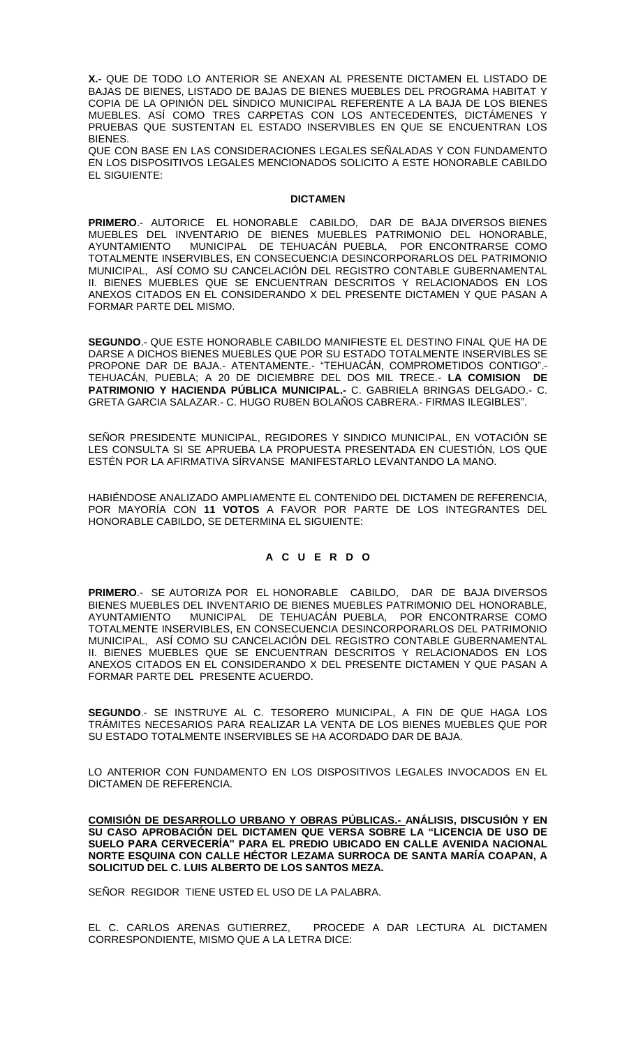**X.-** QUE DE TODO LO ANTERIOR SE ANEXAN AL PRESENTE DICTAMEN EL LISTADO DE BAJAS DE BIENES, LISTADO DE BAJAS DE BIENES MUEBLES DEL PROGRAMA HABITAT Y COPIA DE LA OPINIÓN DEL SÍNDICO MUNICIPAL REFERENTE A LA BAJA DE LOS BIENES MUEBLES. ASÍ COMO TRES CARPETAS CON LOS ANTECEDENTES, DICTÁMENES Y PRUEBAS QUE SUSTENTAN EL ESTADO INSERVIBLES EN QUE SE ENCUENTRAN LOS **BIENES** 

QUE CON BASE EN LAS CONSIDERACIONES LEGALES SEÑALADAS Y CON FUNDAMENTO EN LOS DISPOSITIVOS LEGALES MENCIONADOS SOLICITO A ESTE HONORABLE CABILDO EL SIGUIENTE:

### **DICTAMEN**

**PRIMERO**.- AUTORICE EL HONORABLE CABILDO, DAR DE BAJA DIVERSOS BIENES MUEBLES DEL INVENTARIO DE BIENES MUEBLES PATRIMONIO DEL HONORABLE, AYUNTAMIENTO MUNICIPAL DE TEHUACÁN PUEBLA, POR ENCONTRARSE COMO TOTALMENTE INSERVIBLES, EN CONSECUENCIA DESINCORPORARLOS DEL PATRIMONIO MUNICIPAL, ASÍ COMO SU CANCELACIÓN DEL REGISTRO CONTABLE GUBERNAMENTAL II. BIENES MUEBLES QUE SE ENCUENTRAN DESCRITOS Y RELACIONADOS EN LOS ANEXOS CITADOS EN EL CONSIDERANDO X DEL PRESENTE DICTAMEN Y QUE PASAN A FORMAR PARTE DEL MISMO.

**SEGUNDO**.- QUE ESTE HONORABLE CABILDO MANIFIESTE EL DESTINO FINAL QUE HA DE DARSE A DICHOS BIENES MUEBLES QUE POR SU ESTADO TOTALMENTE INSERVIBLES SE PROPONE DAR DE BAJA.- ATENTAMENTE.- "TEHUACÁN, COMPROMETIDOS CONTIGO".- TEHUACÁN, PUEBLA; A 20 DE DICIEMBRE DEL DOS MIL TRECE.- **LA COMISION DE PATRIMONIO Y HACIENDA PÚBLICA MUNICIPAL.-** C. GABRIELA BRINGAS DELGADO.- C. GRETA GARCIA SALAZAR.- C. HUGO RUBEN BOLAÑOS CABRERA.- FIRMAS ILEGIBLES".

SEÑOR PRESIDENTE MUNICIPAL, REGIDORES Y SINDICO MUNICIPAL, EN VOTACIÓN SE LES CONSULTA SI SE APRUEBA LA PROPUESTA PRESENTADA EN CUESTIÓN, LOS QUE ESTÉN POR LA AFIRMATIVA SÍRVANSE MANIFESTARLO LEVANTANDO LA MANO.

HABIÉNDOSE ANALIZADO AMPLIAMENTE EL CONTENIDO DEL DICTAMEN DE REFERENCIA, POR MAYORÍA CON **11 VOTOS** A FAVOR POR PARTE DE LOS INTEGRANTES DEL HONORABLE CABILDO, SE DETERMINA EL SIGUIENTE:

# **A C U E R D O**

**PRIMERO**.- SE AUTORIZA POR EL HONORABLE CABILDO, DAR DE BAJA DIVERSOS BIENES MUEBLES DEL INVENTARIO DE BIENES MUEBLES PATRIMONIO DEL HONORABLE, AYUNTAMIENTO MUNICIPAL DE TEHUACÁN PUEBLA, POR ENCONTRARSE COMO TOTALMENTE INSERVIBLES, EN CONSECUENCIA DESINCORPORARLOS DEL PATRIMONIO MUNICIPAL, ASÍ COMO SU CANCELACIÓN DEL REGISTRO CONTABLE GUBERNAMENTAL II. BIENES MUEBLES QUE SE ENCUENTRAN DESCRITOS Y RELACIONADOS EN LOS ANEXOS CITADOS EN EL CONSIDERANDO X DEL PRESENTE DICTAMEN Y QUE PASAN A FORMAR PARTE DEL PRESENTE ACUERDO.

**SEGUNDO**.- SE INSTRUYE AL C. TESORERO MUNICIPAL, A FIN DE QUE HAGA LOS TRÁMITES NECESARIOS PARA REALIZAR LA VENTA DE LOS BIENES MUEBLES QUE POR SU ESTADO TOTALMENTE INSERVIBLES SE HA ACORDADO DAR DE BAJA.

LO ANTERIOR CON FUNDAMENTO EN LOS DISPOSITIVOS LEGALES INVOCADOS EN EL DICTAMEN DE REFERENCIA.

**COMISIÓN DE DESARROLLO URBANO Y OBRAS PÚBLICAS.- ANÁLISIS, DISCUSIÓN Y EN SU CASO APROBACIÓN DEL DICTAMEN QUE VERSA SOBRE LA "LICENCIA DE USO DE SUELO PARA CERVECERÍA" PARA EL PREDIO UBICADO EN CALLE AVENIDA NACIONAL NORTE ESQUINA CON CALLE HÉCTOR LEZAMA SURROCA DE SANTA MARÍA COAPAN, A SOLICITUD DEL C. LUIS ALBERTO DE LOS SANTOS MEZA.**

SEÑOR REGIDOR TIENE USTED EL USO DE LA PALABRA.

EL C. CARLOS ARENAS GUTIERREZ, PROCEDE A DAR LECTURA AL DICTAMEN CORRESPONDIENTE, MISMO QUE A LA LETRA DICE: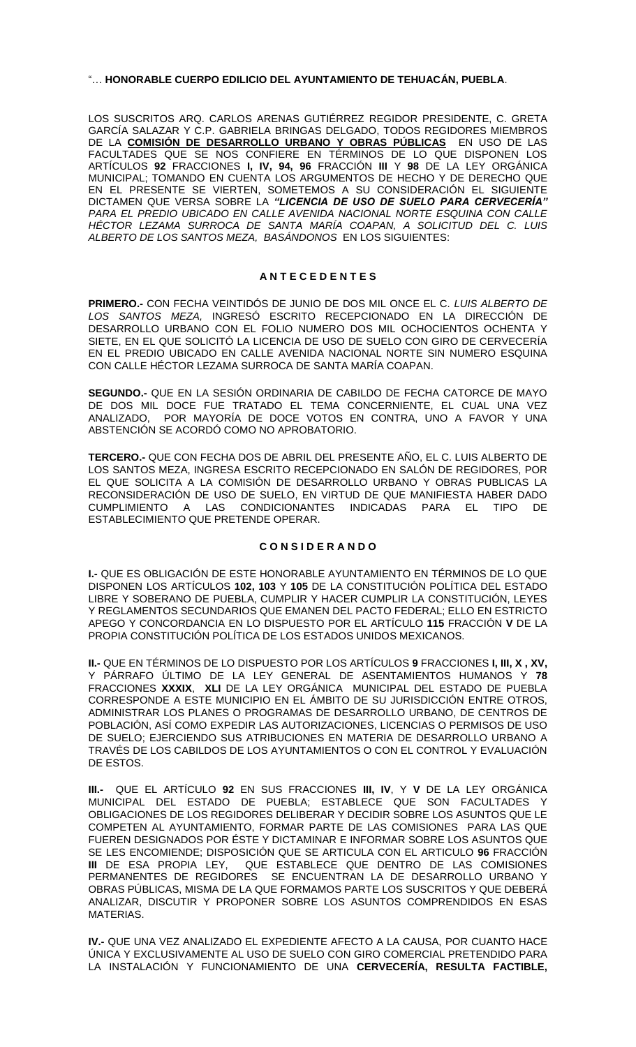### "… **HONORABLE CUERPO EDILICIO DEL AYUNTAMIENTO DE TEHUACÁN, PUEBLA**.

LOS SUSCRITOS ARQ. CARLOS ARENAS GUTIÉRREZ REGIDOR PRESIDENTE, C. GRETA GARCÍA SALAZAR Y C.P. GABRIELA BRINGAS DELGADO, TODOS REGIDORES MIEMBROS DE LA **COMISIÓN DE DESARROLLO URBANO Y OBRAS PÚBLICAS** EN USO DE LAS FACULTADES QUE SE NOS CONFIERE EN TÉRMINOS DE LO QUE DISPONEN LOS ARTÍCULOS **92** FRACCIONES **I, IV, 94, 96** FRACCIÓN **III** Y **98** DE LA LEY ORGÁNICA MUNICIPAL; TOMANDO EN CUENTA LOS ARGUMENTOS DE HECHO Y DE DERECHO QUE EN EL PRESENTE SE VIERTEN, SOMETEMOS A SU CONSIDERACIÓN EL SIGUIENTE DICTAMEN QUE VERSA SOBRE LA *"LICENCIA DE USO DE SUELO PARA CERVECERÍA" PARA EL PREDIO UBICADO EN CALLE AVENIDA NACIONAL NORTE ESQUINA CON CALLE HÉCTOR LEZAMA SURROCA DE SANTA MARÍA COAPAN, A SOLICITUD DEL C. LUIS ALBERTO DE LOS SANTOS MEZA, BASÁNDONOS* EN LOS SIGUIENTES:

## **A N T E C E D E N T E S**

**PRIMERO.-** CON FECHA VEINTIDÓS DE JUNIO DE DOS MIL ONCE EL C. *LUIS ALBERTO DE LOS SANTOS MEZA,* INGRESÓ ESCRITO RECEPCIONADO EN LA DIRECCIÓN DE DESARROLLO URBANO CON EL FOLIO NUMERO DOS MIL OCHOCIENTOS OCHENTA Y SIETE, EN EL QUE SOLICITÓ LA LICENCIA DE USO DE SUELO CON GIRO DE CERVECERÍA EN EL PREDIO UBICADO EN CALLE AVENIDA NACIONAL NORTE SIN NUMERO ESQUINA CON CALLE HÉCTOR LEZAMA SURROCA DE SANTA MARÍA COAPAN.

**SEGUNDO.-** QUE EN LA SESIÓN ORDINARIA DE CABILDO DE FECHA CATORCE DE MAYO DE DOS MIL DOCE FUE TRATADO EL TEMA CONCERNIENTE, EL CUAL UNA VEZ ANALIZADO, POR MAYORÍA DE DOCE VOTOS EN CONTRA, UNO A FAVOR Y UNA ABSTENCIÓN SE ACORDÓ COMO NO APROBATORIO.

**TERCERO.-** QUE CON FECHA DOS DE ABRIL DEL PRESENTE AÑO, EL C. LUIS ALBERTO DE LOS SANTOS MEZA, INGRESA ESCRITO RECEPCIONADO EN SALÓN DE REGIDORES, POR EL QUE SOLICITA A LA COMISIÓN DE DESARROLLO URBANO Y OBRAS PUBLICAS LA RECONSIDERACIÓN DE USO DE SUELO, EN VIRTUD DE QUE MANIFIESTA HABER DADO CUMPLIMIENTO A LAS CONDICIONANTES INDICADAS PARA EL TIPO DE ESTABLECIMIENTO QUE PRETENDE OPERAR.

## **C O N S I D E R A N D O**

**I.-** QUE ES OBLIGACIÓN DE ESTE HONORABLE AYUNTAMIENTO EN TÉRMINOS DE LO QUE DISPONEN LOS ARTÍCULOS **102, 103** Y **105** DE LA CONSTITUCIÓN POLÍTICA DEL ESTADO LIBRE Y SOBERANO DE PUEBLA, CUMPLIR Y HACER CUMPLIR LA CONSTITUCIÓN, LEYES Y REGLAMENTOS SECUNDARIOS QUE EMANEN DEL PACTO FEDERAL; ELLO EN ESTRICTO APEGO Y CONCORDANCIA EN LO DISPUESTO POR EL ARTÍCULO **115** FRACCIÓN **V** DE LA PROPIA CONSTITUCIÓN POLÍTICA DE LOS ESTADOS UNIDOS MEXICANOS.

**II.-** QUE EN TÉRMINOS DE LO DISPUESTO POR LOS ARTÍCULOS **9** FRACCIONES **I, III, X , XV,**  Y PÁRRAFO ÚLTIMO DE LA LEY GENERAL DE ASENTAMIENTOS HUMANOS Y **78** FRACCIONES **XXXIX**, **XLI** DE LA LEY ORGÁNICA MUNICIPAL DEL ESTADO DE PUEBLA CORRESPONDE A ESTE MUNICIPIO EN EL ÁMBITO DE SU JURISDICCIÓN ENTRE OTROS, ADMINISTRAR LOS PLANES O PROGRAMAS DE DESARROLLO URBANO, DE CENTROS DE POBLACIÓN, ASÍ COMO EXPEDIR LAS AUTORIZACIONES, LICENCIAS O PERMISOS DE USO DE SUELO; EJERCIENDO SUS ATRIBUCIONES EN MATERIA DE DESARROLLO URBANO A TRAVÉS DE LOS CABILDOS DE LOS AYUNTAMIENTOS O CON EL CONTROL Y EVALUACIÓN DE ESTOS.

**III.-** QUE EL ARTÍCULO **92** EN SUS FRACCIONES **III, IV**, Y **V** DE LA LEY ORGÁNICA MUNICIPAL DEL ESTADO DE PUEBLA; ESTABLECE QUE SON FACULTADES OBLIGACIONES DE LOS REGIDORES DELIBERAR Y DECIDIR SOBRE LOS ASUNTOS QUE LE COMPETEN AL AYUNTAMIENTO, FORMAR PARTE DE LAS COMISIONES PARA LAS QUE FUEREN DESIGNADOS POR ÉSTE Y DICTAMINAR E INFORMAR SOBRE LOS ASUNTOS QUE SE LES ENCOMIENDE; DISPOSICIÓN QUE SE ARTICULA CON EL ARTICULO **96** FRACCIÓN **III** DE ESA PROPIA LEY, QUE ESTABLECE QUE DENTRO DE LAS COMISIONES PERMANENTES DE REGIDORES SE ENCUENTRAN LA DE DESARROLLO URBANO Y OBRAS PÚBLICAS, MISMA DE LA QUE FORMAMOS PARTE LOS SUSCRITOS Y QUE DEBERÁ ANALIZAR, DISCUTIR Y PROPONER SOBRE LOS ASUNTOS COMPRENDIDOS EN ESAS MATERIAS.

**IV.-** QUE UNA VEZ ANALIZADO EL EXPEDIENTE AFECTO A LA CAUSA, POR CUANTO HACE ÚNICA Y EXCLUSIVAMENTE AL USO DE SUELO CON GIRO COMERCIAL PRETENDIDO PARA LA INSTALACIÓN Y FUNCIONAMIENTO DE UNA **CERVECERÍA, RESULTA FACTIBLE,**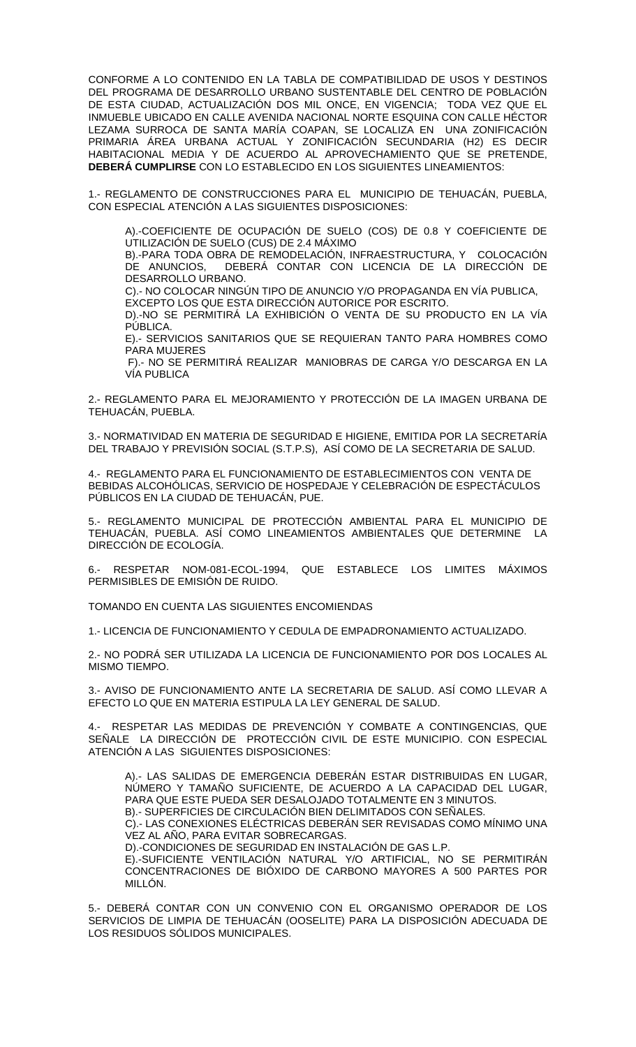CONFORME A LO CONTENIDO EN LA TABLA DE COMPATIBILIDAD DE USOS Y DESTINOS DEL PROGRAMA DE DESARROLLO URBANO SUSTENTABLE DEL CENTRO DE POBLACIÓN DE ESTA CIUDAD, ACTUALIZACIÓN DOS MIL ONCE, EN VIGENCIA; TODA VEZ QUE EL INMUEBLE UBICADO EN CALLE AVENIDA NACIONAL NORTE ESQUINA CON CALLE HÉCTOR LEZAMA SURROCA DE SANTA MARÍA COAPAN, SE LOCALIZA EN UNA ZONIFICACIÓN PRIMARIA ÁREA URBANA ACTUAL Y ZONIFICACIÓN SECUNDARIA (H2) ES DECIR HABITACIONAL MEDIA Y DE ACUERDO AL APROVECHAMIENTO QUE SE PRETENDE, **DEBERÁ CUMPLIRSE** CON LO ESTABLECIDO EN LOS SIGUIENTES LINEAMIENTOS:

1.- REGLAMENTO DE CONSTRUCCIONES PARA EL MUNICIPIO DE TEHUACÁN, PUEBLA, CON ESPECIAL ATENCIÓN A LAS SIGUIENTES DISPOSICIONES:

A).-COEFICIENTE DE OCUPACIÓN DE SUELO (COS) DE 0.8 Y COEFICIENTE DE UTILIZACIÓN DE SUELO (CUS) DE 2.4 MÁXIMO

B).-PARA TODA OBRA DE REMODELACIÓN, INFRAESTRUCTURA, Y COLOCACIÓN DE ANUNCIOS, DEBERÁ CONTAR CON LICENCIA DE LA DIRECCIÓN DE DESARROLLO URBANO.

C).- NO COLOCAR NINGÚN TIPO DE ANUNCIO Y/O PROPAGANDA EN VÍA PUBLICA, EXCEPTO LOS QUE ESTA DIRECCIÓN AUTORICE POR ESCRITO.

D).-NO SE PERMITIRÁ LA EXHIBICIÓN O VENTA DE SU PRODUCTO EN LA VÍA PÚBLICA.

E).- SERVICIOS SANITARIOS QUE SE REQUIERAN TANTO PARA HOMBRES COMO PARA MUJERES

F).- NO SE PERMITIRÁ REALIZAR MANIOBRAS DE CARGA Y/O DESCARGA EN LA VÍA PUBLICA

2.- REGLAMENTO PARA EL MEJORAMIENTO Y PROTECCIÓN DE LA IMAGEN URBANA DE TEHUACÁN, PUEBLA.

3.- NORMATIVIDAD EN MATERIA DE SEGURIDAD E HIGIENE, EMITIDA POR LA SECRETARÍA DEL TRABAJO Y PREVISIÓN SOCIAL (S.T.P.S), ASÍ COMO DE LA SECRETARIA DE SALUD.

4.- REGLAMENTO PARA EL FUNCIONAMIENTO DE ESTABLECIMIENTOS CON VENTA DE BEBIDAS ALCOHÓLICAS, SERVICIO DE HOSPEDAJE Y CELEBRACIÓN DE ESPECTÁCULOS PÚBLICOS EN LA CIUDAD DE TEHUACÁN, PUE.

5.- REGLAMENTO MUNICIPAL DE PROTECCIÓN AMBIENTAL PARA EL MUNICIPIO DE TEHUACÁN, PUEBLA. ASÍ COMO LINEAMIENTOS AMBIENTALES QUE DETERMINE LA DIRECCIÓN DE ECOLOGÍA.

6.- RESPETAR NOM-081-ECOL-1994, QUE ESTABLECE LOS LIMITES MÁXIMOS PERMISIBLES DE EMISIÓN DE RUIDO.

TOMANDO EN CUENTA LAS SIGUIENTES ENCOMIENDAS

1.- LICENCIA DE FUNCIONAMIENTO Y CEDULA DE EMPADRONAMIENTO ACTUALIZADO.

2.- NO PODRÁ SER UTILIZADA LA LICENCIA DE FUNCIONAMIENTO POR DOS LOCALES AL MISMO TIEMPO.

3.- AVISO DE FUNCIONAMIENTO ANTE LA SECRETARIA DE SALUD. ASÍ COMO LLEVAR A EFECTO LO QUE EN MATERIA ESTIPULA LA LEY GENERAL DE SALUD.

4.- RESPETAR LAS MEDIDAS DE PREVENCIÓN Y COMBATE A CONTINGENCIAS, QUE SEÑALE LA DIRECCIÓN DE PROTECCIÓN CIVIL DE ESTE MUNICIPIO. CON ESPECIAL ATENCIÓN A LAS SIGUIENTES DISPOSICIONES:

A).- LAS SALIDAS DE EMERGENCIA DEBERÁN ESTAR DISTRIBUIDAS EN LUGAR, NÚMERO Y TAMAÑO SUFICIENTE, DE ACUERDO A LA CAPACIDAD DEL LUGAR, PARA QUE ESTE PUEDA SER DESALOJADO TOTALMENTE EN 3 MINUTOS. B).- SUPERFICIES DE CIRCULACIÓN BIEN DELIMITADOS CON SEÑALES.

C).- LAS CONEXIONES ELÉCTRICAS DEBERÁN SER REVISADAS COMO MÍNIMO UNA VEZ AL AÑO, PARA EVITAR SOBRECARGAS.

D).-CONDICIONES DE SEGURIDAD EN INSTALACIÓN DE GAS L.P.

E).-SUFICIENTE VENTILACIÓN NATURAL Y/O ARTIFICIAL, NO SE PERMITIRÁN CONCENTRACIONES DE BIÓXIDO DE CARBONO MAYORES A 500 PARTES POR MILLÓN.

5.- DEBERÁ CONTAR CON UN CONVENIO CON EL ORGANISMO OPERADOR DE LOS SERVICIOS DE LIMPIA DE TEHUACÁN (OOSELITE) PARA LA DISPOSICIÓN ADECUADA DE LOS RESIDUOS SÓLIDOS MUNICIPALES.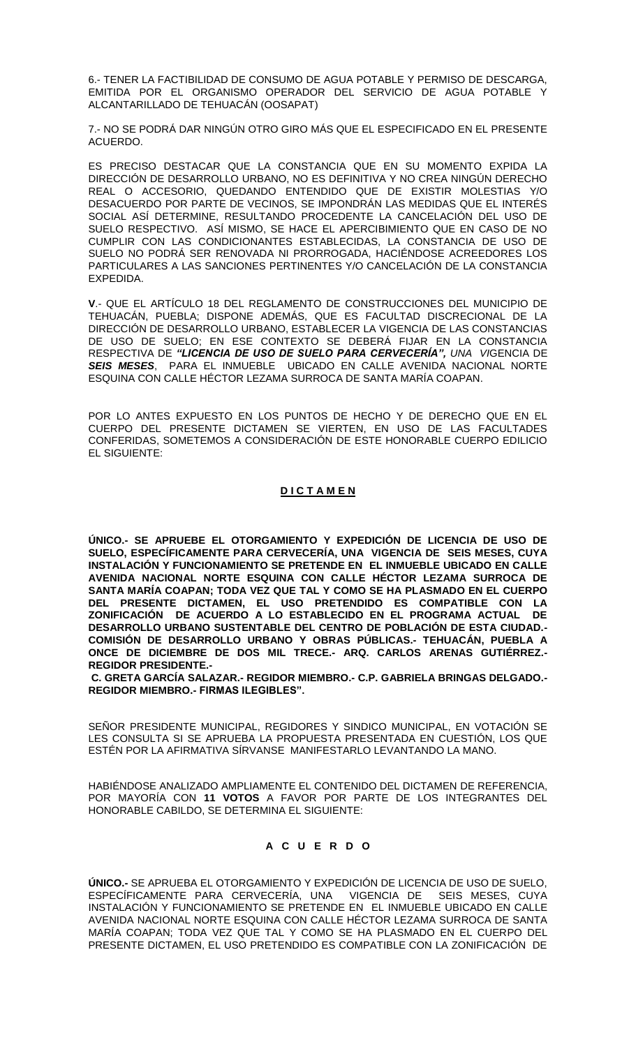6.- TENER LA FACTIBILIDAD DE CONSUMO DE AGUA POTABLE Y PERMISO DE DESCARGA, EMITIDA POR EL ORGANISMO OPERADOR DEL SERVICIO DE AGUA POTABLE Y ALCANTARILLADO DE TEHUACÁN (OOSAPAT)

7.- NO SE PODRÁ DAR NINGÚN OTRO GIRO MÁS QUE EL ESPECIFICADO EN EL PRESENTE ACUERDO.

ES PRECISO DESTACAR QUE LA CONSTANCIA QUE EN SU MOMENTO EXPIDA LA DIRECCIÓN DE DESARROLLO URBANO, NO ES DEFINITIVA Y NO CREA NINGÚN DERECHO REAL O ACCESORIO, QUEDANDO ENTENDIDO QUE DE EXISTIR MOLESTIAS Y/O DESACUERDO POR PARTE DE VECINOS, SE IMPONDRÁN LAS MEDIDAS QUE EL INTERÉS SOCIAL ASÍ DETERMINE, RESULTANDO PROCEDENTE LA CANCELACIÓN DEL USO DE SUELO RESPECTIVO. ASÍ MISMO, SE HACE EL APERCIBIMIENTO QUE EN CASO DE NO CUMPLIR CON LAS CONDICIONANTES ESTABLECIDAS, LA CONSTANCIA DE USO DE SUELO NO PODRÁ SER RENOVADA NI PRORROGADA, HACIÉNDOSE ACREEDORES LOS PARTICULARES A LAS SANCIONES PERTINENTES Y/O CANCELACIÓN DE LA CONSTANCIA EXPEDIDA.

**V**.- QUE EL ARTÍCULO 18 DEL REGLAMENTO DE CONSTRUCCIONES DEL MUNICIPIO DE TEHUACÁN, PUEBLA; DISPONE ADEMÁS, QUE ES FACULTAD DISCRECIONAL DE LA DIRECCIÓN DE DESARROLLO URBANO, ESTABLECER LA VIGENCIA DE LAS CONSTANCIAS DE USO DE SUELO; EN ESE CONTEXTO SE DEBERÁ FIJAR EN LA CONSTANCIA RESPECTIVA DE *"LICENCIA DE USO DE SUELO PARA CERVECERÍA", UNA VI*GENCIA DE *SEIS MESES*, PARA EL INMUEBLE UBICADO EN CALLE AVENIDA NACIONAL NORTE ESQUINA CON CALLE HÉCTOR LEZAMA SURROCA DE SANTA MARÍA COAPAN.

POR LO ANTES EXPUESTO EN LOS PUNTOS DE HECHO Y DE DERECHO QUE EN EL CUERPO DEL PRESENTE DICTAMEN SE VIERTEN, EN USO DE LAS FACULTADES CONFERIDAS, SOMETEMOS A CONSIDERACIÓN DE ESTE HONORABLE CUERPO EDILICIO EL SIGUIENTE:

# **D I C T A M E N**

**ÚNICO.- SE APRUEBE EL OTORGAMIENTO Y EXPEDICIÓN DE LICENCIA DE USO DE SUELO, ESPECÍFICAMENTE PARA CERVECERÍA, UNA VIGENCIA DE SEIS MESES, CUYA INSTALACIÓN Y FUNCIONAMIENTO SE PRETENDE EN EL INMUEBLE UBICADO EN CALLE AVENIDA NACIONAL NORTE ESQUINA CON CALLE HÉCTOR LEZAMA SURROCA DE SANTA MARÍA COAPAN; TODA VEZ QUE TAL Y COMO SE HA PLASMADO EN EL CUERPO DEL PRESENTE DICTAMEN, EL USO PRETENDIDO ES COMPATIBLE CON LA ZONIFICACIÓN DE ACUERDO A LO ESTABLECIDO EN EL PROGRAMA ACTUAL DE DESARROLLO URBANO SUSTENTABLE DEL CENTRO DE POBLACIÓN DE ESTA CIUDAD.- COMISIÓN DE DESARROLLO URBANO Y OBRAS PÚBLICAS.- TEHUACÁN, PUEBLA A ONCE DE DICIEMBRE DE DOS MIL TRECE.- ARQ. CARLOS ARENAS GUTIÉRREZ.- REGIDOR PRESIDENTE.-**

**C. GRETA GARCÍA SALAZAR.- REGIDOR MIEMBRO.- C.P. GABRIELA BRINGAS DELGADO.- REGIDOR MIEMBRO.- FIRMAS ILEGIBLES".**

SEÑOR PRESIDENTE MUNICIPAL, REGIDORES Y SINDICO MUNICIPAL, EN VOTACIÓN SE LES CONSULTA SI SE APRUEBA LA PROPUESTA PRESENTADA EN CUESTIÓN, LOS QUE ESTÉN POR LA AFIRMATIVA SÍRVANSE MANIFESTARLO LEVANTANDO LA MANO.

HABIÉNDOSE ANALIZADO AMPLIAMENTE EL CONTENIDO DEL DICTAMEN DE REFERENCIA, POR MAYORÍA CON **11 VOTOS** A FAVOR POR PARTE DE LOS INTEGRANTES DEL HONORABLE CABILDO, SE DETERMINA EL SIGUIENTE:

# **A C U E R D O**

**ÚNICO.-** SE APRUEBA EL OTORGAMIENTO Y EXPEDICIÓN DE LICENCIA DE USO DE SUELO, ESPECÍFICAMENTE PARA CERVECERÍA, UNA VIGENCIA DE SEIS MESES, CUYA INSTALACIÓN Y FUNCIONAMIENTO SE PRETENDE EN EL INMUEBLE UBICADO EN CALLE AVENIDA NACIONAL NORTE ESQUINA CON CALLE HÉCTOR LEZAMA SURROCA DE SANTA MARÍA COAPAN; TODA VEZ QUE TAL Y COMO SE HA PLASMADO EN EL CUERPO DEL PRESENTE DICTAMEN, EL USO PRETENDIDO ES COMPATIBLE CON LA ZONIFICACIÓN DE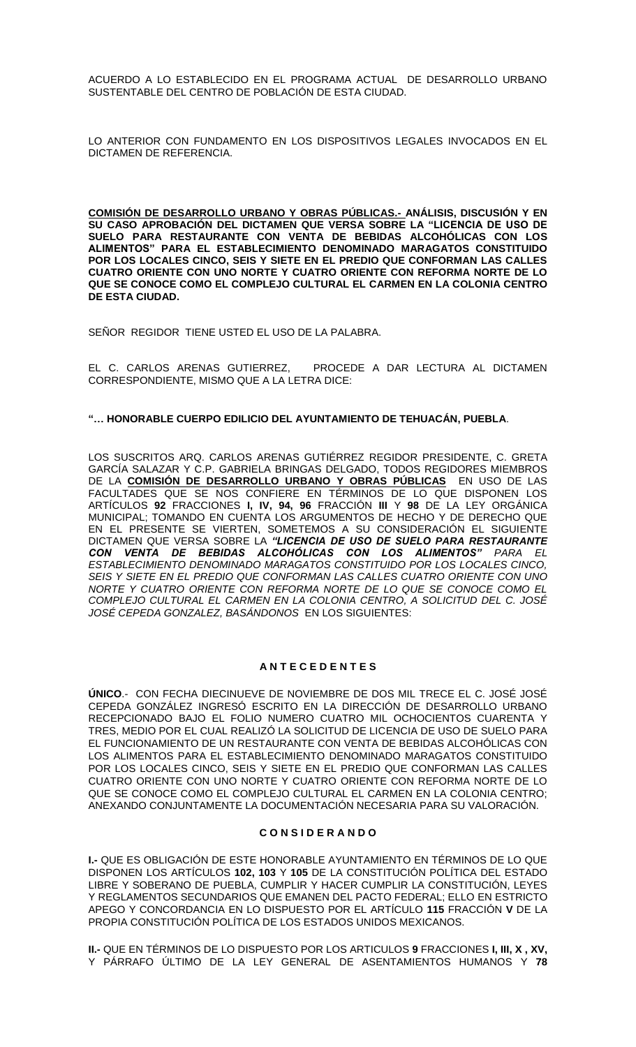ACUERDO A LO ESTABLECIDO EN EL PROGRAMA ACTUAL DE DESARROLLO URBANO SUSTENTABLE DEL CENTRO DE POBLACIÓN DE ESTA CIUDAD.

LO ANTERIOR CON FUNDAMENTO EN LOS DISPOSITIVOS LEGALES INVOCADOS EN EL DICTAMEN DE REFERENCIA.

**COMISIÓN DE DESARROLLO URBANO Y OBRAS PÚBLICAS.- ANÁLISIS, DISCUSIÓN Y EN SU CASO APROBACIÓN DEL DICTAMEN QUE VERSA SOBRE LA "LICENCIA DE USO DE SUELO PARA RESTAURANTE CON VENTA DE BEBIDAS ALCOHÓLICAS CON LOS ALIMENTOS" PARA EL ESTABLECIMIENTO DENOMINADO MARAGATOS CONSTITUIDO POR LOS LOCALES CINCO, SEIS Y SIETE EN EL PREDIO QUE CONFORMAN LAS CALLES CUATRO ORIENTE CON UNO NORTE Y CUATRO ORIENTE CON REFORMA NORTE DE LO QUE SE CONOCE COMO EL COMPLEJO CULTURAL EL CARMEN EN LA COLONIA CENTRO DE ESTA CIUDAD.**

SEÑOR REGIDOR TIENE USTED EL USO DE LA PALABRA.

EL C. CARLOS ARENAS GUTIERREZ, PROCEDE A DAR LECTURA AL DICTAMEN CORRESPONDIENTE, MISMO QUE A LA LETRA DICE:

### **"… HONORABLE CUERPO EDILICIO DEL AYUNTAMIENTO DE TEHUACÁN, PUEBLA**.

LOS SUSCRITOS ARQ. CARLOS ARENAS GUTIÉRREZ REGIDOR PRESIDENTE, C. GRETA GARCÍA SALAZAR Y C.P. GABRIELA BRINGAS DELGADO, TODOS REGIDORES MIEMBROS DE LA **COMISIÓN DE DESARROLLO URBANO Y OBRAS PÚBLICAS** EN USO DE LAS FACULTADES QUE SE NOS CONFIERE EN TÉRMINOS DE LO QUE DISPONEN LOS ARTÍCULOS **92** FRACCIONES **I, IV, 94, 96** FRACCIÓN **III** Y **98** DE LA LEY ORGÁNICA MUNICIPAL; TOMANDO EN CUENTA LOS ARGUMENTOS DE HECHO Y DE DERECHO QUE EN EL PRESENTE SE VIERTEN, SOMETEMOS A SU CONSIDERACIÓN EL SIGUIENTE DICTAMEN QUE VERSA SOBRE LA *"LICENCIA DE USO DE SUELO PARA RESTAURANTE CON VENTA DE BEBIDAS ALCOHÓLICAS CON LOS ALIMENTOS" PARA EL ESTABLECIMIENTO DENOMINADO MARAGATOS CONSTITUIDO POR LOS LOCALES CINCO, SEIS Y SIETE EN EL PREDIO QUE CONFORMAN LAS CALLES CUATRO ORIENTE CON UNO NORTE Y CUATRO ORIENTE CON REFORMA NORTE DE LO QUE SE CONOCE COMO EL COMPLEJO CULTURAL EL CARMEN EN LA COLONIA CENTRO, A SOLICITUD DEL C. JOSÉ JOSÉ CEPEDA GONZALEZ, BASÁNDONOS* EN LOS SIGUIENTES:

### **A N T E C E D E N T E S**

**ÚNICO**.- CON FECHA DIECINUEVE DE NOVIEMBRE DE DOS MIL TRECE EL C. JOSÉ JOSÉ CEPEDA GONZÁLEZ INGRESÓ ESCRITO EN LA DIRECCIÓN DE DESARROLLO URBANO RECEPCIONADO BAJO EL FOLIO NUMERO CUATRO MIL OCHOCIENTOS CUARENTA Y TRES, MEDIO POR EL CUAL REALIZÓ LA SOLICITUD DE LICENCIA DE USO DE SUELO PARA EL FUNCIONAMIENTO DE UN RESTAURANTE CON VENTA DE BEBIDAS ALCOHÓLICAS CON LOS ALIMENTOS PARA EL ESTABLECIMIENTO DENOMINADO MARAGATOS CONSTITUIDO POR LOS LOCALES CINCO, SEIS Y SIETE EN EL PREDIO QUE CONFORMAN LAS CALLES CUATRO ORIENTE CON UNO NORTE Y CUATRO ORIENTE CON REFORMA NORTE DE LO QUE SE CONOCE COMO EL COMPLEJO CULTURAL EL CARMEN EN LA COLONIA CENTRO; ANEXANDO CONJUNTAMENTE LA DOCUMENTACIÓN NECESARIA PARA SU VALORACIÓN.

### **C O N S I D E R A N D O**

**I.-** QUE ES OBLIGACIÓN DE ESTE HONORABLE AYUNTAMIENTO EN TÉRMINOS DE LO QUE DISPONEN LOS ARTÍCULOS **102, 103** Y **105** DE LA CONSTITUCIÓN POLÍTICA DEL ESTADO LIBRE Y SOBERANO DE PUEBLA, CUMPLIR Y HACER CUMPLIR LA CONSTITUCIÓN, LEYES Y REGLAMENTOS SECUNDARIOS QUE EMANEN DEL PACTO FEDERAL; ELLO EN ESTRICTO APEGO Y CONCORDANCIA EN LO DISPUESTO POR EL ARTÍCULO **115** FRACCIÓN **V** DE LA PROPIA CONSTITUCIÓN POLÍTICA DE LOS ESTADOS UNIDOS MEXICANOS.

**II.-** QUE EN TÉRMINOS DE LO DISPUESTO POR LOS ARTICULOS **9** FRACCIONES **I, III, X , XV,**  Y PÁRRAFO ÚLTIMO DE LA LEY GENERAL DE ASENTAMIENTOS HUMANOS Y **78**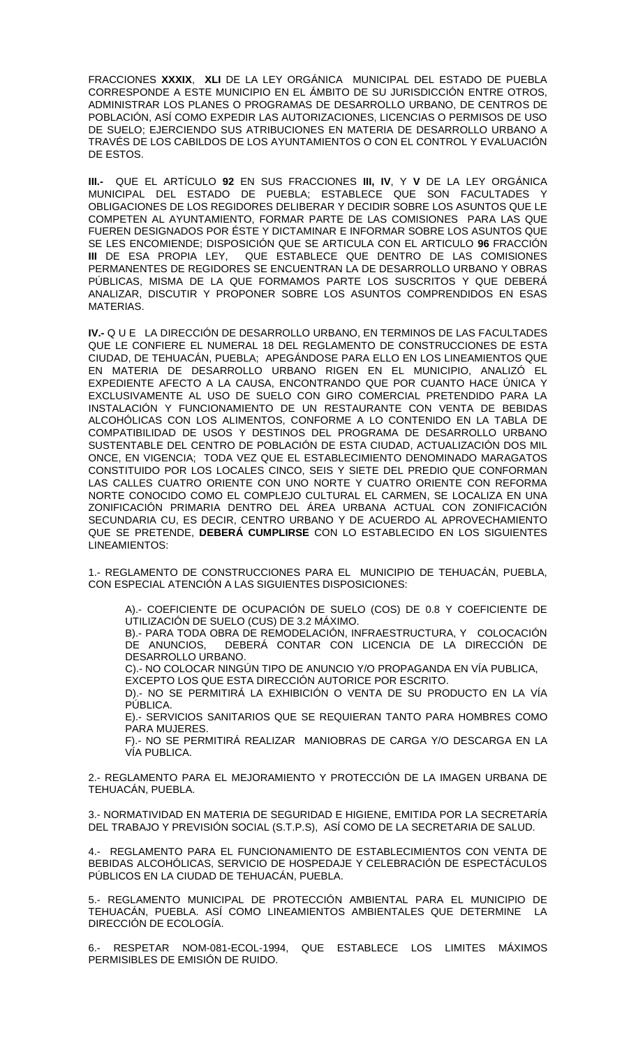FRACCIONES **XXXIX**, **XLI** DE LA LEY ORGÁNICA MUNICIPAL DEL ESTADO DE PUEBLA CORRESPONDE A ESTE MUNICIPIO EN EL ÁMBITO DE SU JURISDICCIÓN ENTRE OTROS, ADMINISTRAR LOS PLANES O PROGRAMAS DE DESARROLLO URBANO, DE CENTROS DE POBLACIÓN, ASÍ COMO EXPEDIR LAS AUTORIZACIONES, LICENCIAS O PERMISOS DE USO DE SUELO; EJERCIENDO SUS ATRIBUCIONES EN MATERIA DE DESARROLLO URBANO A TRAVÉS DE LOS CABILDOS DE LOS AYUNTAMIENTOS O CON EL CONTROL Y EVALUACIÓN DE ESTOS.

**III.-** QUE EL ARTÍCULO **92** EN SUS FRACCIONES **III, IV**, Y **V** DE LA LEY ORGÁNICA MUNICIPAL DEL ESTADO DE PUEBLA; ESTABLECE QUE SON FACULTADES OBLIGACIONES DE LOS REGIDORES DELIBERAR Y DECIDIR SOBRE LOS ASUNTOS QUE LE COMPETEN AL AYUNTAMIENTO, FORMAR PARTE DE LAS COMISIONES PARA LAS QUE FUEREN DESIGNADOS POR ÉSTE Y DICTAMINAR E INFORMAR SOBRE LOS ASUNTOS QUE SE LES ENCOMIENDE; DISPOSICIÓN QUE SE ARTICULA CON EL ARTICULO **96** FRACCIÓN QUE ESTABLECE QUE DENTRO DE LAS COMISIONES PERMANENTES DE REGIDORES SE ENCUENTRAN LA DE DESARROLLO URBANO Y OBRAS PÚBLICAS, MISMA DE LA QUE FORMAMOS PARTE LOS SUSCRITOS Y QUE DEBERÁ ANALIZAR, DISCUTIR Y PROPONER SOBRE LOS ASUNTOS COMPRENDIDOS EN ESAS MATERIAS.

**IV.-** Q U E LA DIRECCIÓN DE DESARROLLO URBANO, EN TERMINOS DE LAS FACULTADES QUE LE CONFIERE EL NUMERAL 18 DEL REGLAMENTO DE CONSTRUCCIONES DE ESTA CIUDAD, DE TEHUACÁN, PUEBLA; APEGÁNDOSE PARA ELLO EN LOS LINEAMIENTOS QUE EN MATERIA DE DESARROLLO URBANO RIGEN EN EL MUNICIPIO, ANALIZÓ EL EXPEDIENTE AFECTO A LA CAUSA, ENCONTRANDO QUE POR CUANTO HACE ÚNICA Y EXCLUSIVAMENTE AL USO DE SUELO CON GIRO COMERCIAL PRETENDIDO PARA LA INSTALACIÓN Y FUNCIONAMIENTO DE UN RESTAURANTE CON VENTA DE BEBIDAS ALCOHÓLICAS CON LOS ALIMENTOS, CONFORME A LO CONTENIDO EN LA TABLA DE COMPATIBILIDAD DE USOS Y DESTINOS DEL PROGRAMA DE DESARROLLO URBANO SUSTENTABLE DEL CENTRO DE POBLACIÓN DE ESTA CIUDAD, ACTUALIZACIÓN DOS MIL ONCE, EN VIGENCIA; TODA VEZ QUE EL ESTABLECIMIENTO DENOMINADO MARAGATOS CONSTITUIDO POR LOS LOCALES CINCO, SEIS Y SIETE DEL PREDIO QUE CONFORMAN LAS CALLES CUATRO ORIENTE CON UNO NORTE Y CUATRO ORIENTE CON REFORMA NORTE CONOCIDO COMO EL COMPLEJO CULTURAL EL CARMEN, SE LOCALIZA EN UNA ZONIFICACIÓN PRIMARIA DENTRO DEL ÁREA URBANA ACTUAL CON ZONIFICACIÓN SECUNDARIA CU, ES DECIR, CENTRO URBANO Y DE ACUERDO AL APROVECHAMIENTO QUE SE PRETENDE, **DEBERÁ CUMPLIRSE** CON LO ESTABLECIDO EN LOS SIGUIENTES LINEAMIENTOS:

1.- REGLAMENTO DE CONSTRUCCIONES PARA EL MUNICIPIO DE TEHUACÁN, PUEBLA, CON ESPECIAL ATENCIÓN A LAS SIGUIENTES DISPOSICIONES:

A).- COEFICIENTE DE OCUPACIÓN DE SUELO (COS) DE 0.8 Y COEFICIENTE DE UTILIZACIÓN DE SUELO (CUS) DE 3.2 MÁXIMO.

B).- PARA TODA OBRA DE REMODELACIÓN, INFRAESTRUCTURA, Y COLOCACIÓN DE ANUNCIOS, DEBERÁ CONTAR CON LICENCIA DE LA DIRECCIÓN DE DESARROLLO URBANO.

C).- NO COLOCAR NINGÚN TIPO DE ANUNCIO Y/O PROPAGANDA EN VÍA PUBLICA, EXCEPTO LOS QUE ESTA DIRECCIÓN AUTORICE POR ESCRITO.

D).- NO SE PERMITIRÁ LA EXHIBICIÓN O VENTA DE SU PRODUCTO EN LA VÍA PÚBLICA.

E).- SERVICIOS SANITARIOS QUE SE REQUIERAN TANTO PARA HOMBRES COMO PARA MUJERES.

F).- NO SE PERMITIRÁ REALIZAR MANIOBRAS DE CARGA Y/O DESCARGA EN LA VÍA PUBLICA.

2.- REGLAMENTO PARA EL MEJORAMIENTO Y PROTECCIÓN DE LA IMAGEN URBANA DE TEHUACÁN, PUEBLA.

3.- NORMATIVIDAD EN MATERIA DE SEGURIDAD E HIGIENE, EMITIDA POR LA SECRETARÍA DEL TRABAJO Y PREVISIÓN SOCIAL (S.T.P.S), ASÍ COMO DE LA SECRETARIA DE SALUD.

4.- REGLAMENTO PARA EL FUNCIONAMIENTO DE ESTABLECIMIENTOS CON VENTA DE BEBIDAS ALCOHÓLICAS, SERVICIO DE HOSPEDAJE Y CELEBRACIÓN DE ESPECTÁCULOS PÚBLICOS EN LA CIUDAD DE TEHUACÁN, PUEBLA.

5.- REGLAMENTO MUNICIPAL DE PROTECCIÓN AMBIENTAL PARA EL MUNICIPIO DE TEHUACÁN, PUEBLA. ASÍ COMO LINEAMIENTOS AMBIENTALES QUE DETERMINE LA DIRECCIÓN DE ECOLOGÍA.

6.- RESPETAR NOM-081-ECOL-1994, QUE ESTABLECE LOS LIMITES MÁXIMOS PERMISIBLES DE EMISIÓN DE RUIDO.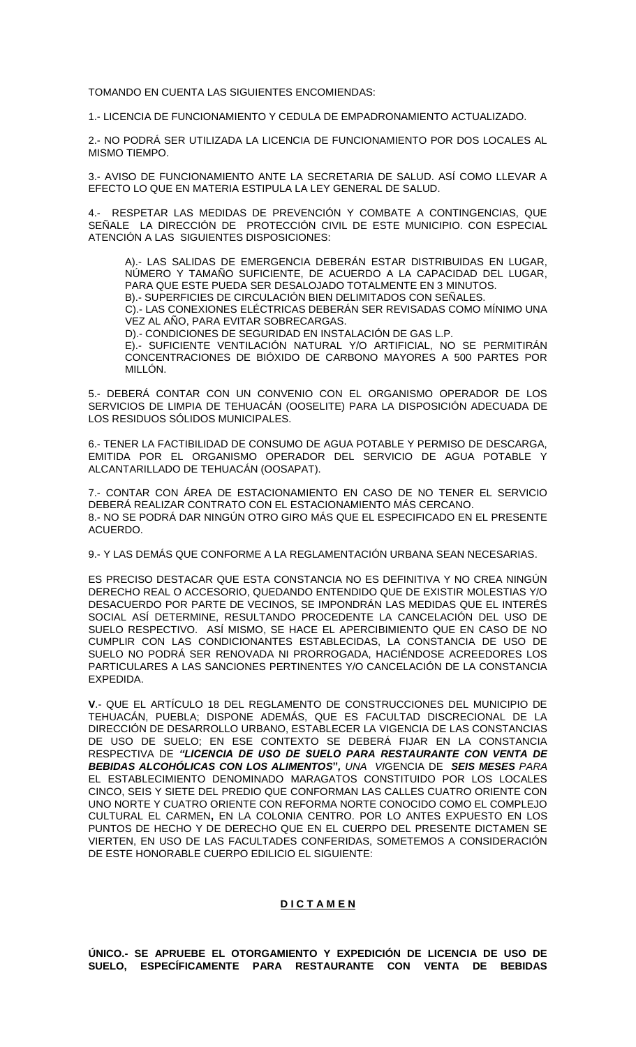TOMANDO EN CUENTA LAS SIGUIENTES ENCOMIENDAS:

1.- LICENCIA DE FUNCIONAMIENTO Y CEDULA DE EMPADRONAMIENTO ACTUALIZADO.

2.- NO PODRÁ SER UTILIZADA LA LICENCIA DE FUNCIONAMIENTO POR DOS LOCALES AL MISMO TIEMPO.

3.- AVISO DE FUNCIONAMIENTO ANTE LA SECRETARIA DE SALUD. ASÍ COMO LLEVAR A EFECTO LO QUE EN MATERIA ESTIPULA LA LEY GENERAL DE SALUD.

4.- RESPETAR LAS MEDIDAS DE PREVENCIÓN Y COMBATE A CONTINGENCIAS, QUE SEÑALE LA DIRECCIÓN DE PROTECCIÓN CIVIL DE ESTE MUNICIPIO. CON ESPECIAL ATENCIÓN A LAS SIGUIENTES DISPOSICIONES:

A).- LAS SALIDAS DE EMERGENCIA DEBERÁN ESTAR DISTRIBUIDAS EN LUGAR, NÚMERO Y TAMAÑO SUFICIENTE, DE ACUERDO A LA CAPACIDAD DEL LUGAR, PARA QUE ESTE PUEDA SER DESALOJADO TOTALMENTE EN 3 MINUTOS. B).- SUPERFICIES DE CIRCULACIÓN BIEN DELIMITADOS CON SEÑALES.

C).- LAS CONEXIONES ELÉCTRICAS DEBERÁN SER REVISADAS COMO MÍNIMO UNA VEZ AL AÑO, PARA EVITAR SOBRECARGAS.

D).- CONDICIONES DE SEGURIDAD EN INSTALACIÓN DE GAS L.P.

E).- SUFICIENTE VENTILACIÓN NATURAL Y/O ARTIFICIAL, NO SE PERMITIRÁN CONCENTRACIONES DE BIÓXIDO DE CARBONO MAYORES A 500 PARTES POR MILLÓN.

5.- DEBERÁ CONTAR CON UN CONVENIO CON EL ORGANISMO OPERADOR DE LOS SERVICIOS DE LIMPIA DE TEHUACÁN (OOSELITE) PARA LA DISPOSICIÓN ADECUADA DE LOS RESIDUOS SÓLIDOS MUNICIPALES.

6.- TENER LA FACTIBILIDAD DE CONSUMO DE AGUA POTABLE Y PERMISO DE DESCARGA, EMITIDA POR EL ORGANISMO OPERADOR DEL SERVICIO DE AGUA POTABLE Y ALCANTARILLADO DE TEHUACÁN (OOSAPAT).

7.- CONTAR CON ÁREA DE ESTACIONAMIENTO EN CASO DE NO TENER EL SERVICIO DEBERÁ REALIZAR CONTRATO CON EL ESTACIONAMIENTO MÁS CERCANO. 8.- NO SE PODRÁ DAR NINGÚN OTRO GIRO MÁS QUE EL ESPECIFICADO EN EL PRESENTE ACUERDO.

9.- Y LAS DEMÁS QUE CONFORME A LA REGLAMENTACIÓN URBANA SEAN NECESARIAS.

ES PRECISO DESTACAR QUE ESTA CONSTANCIA NO ES DEFINITIVA Y NO CREA NINGÚN DERECHO REAL O ACCESORIO, QUEDANDO ENTENDIDO QUE DE EXISTIR MOLESTIAS Y/O DESACUERDO POR PARTE DE VECINOS, SE IMPONDRÁN LAS MEDIDAS QUE EL INTERÉS SOCIAL ASÍ DETERMINE, RESULTANDO PROCEDENTE LA CANCELACIÓN DEL USO DE SUELO RESPECTIVO. ASÍ MISMO, SE HACE EL APERCIBIMIENTO QUE EN CASO DE NO CUMPLIR CON LAS CONDICIONANTES ESTABLECIDAS, LA CONSTANCIA DE USO DE SUELO NO PODRÁ SER RENOVADA NI PRORROGADA, HACIÉNDOSE ACREEDORES LOS PARTICULARES A LAS SANCIONES PERTINENTES Y/O CANCELACIÓN DE LA CONSTANCIA EXPEDIDA.

**V**.- QUE EL ARTÍCULO 18 DEL REGLAMENTO DE CONSTRUCCIONES DEL MUNICIPIO DE TEHUACÁN, PUEBLA; DISPONE ADEMÁS, QUE ES FACULTAD DISCRECIONAL DE LA DIRECCIÓN DE DESARROLLO URBANO, ESTABLECER LA VIGENCIA DE LAS CONSTANCIAS DE USO DE SUELO; EN ESE CONTEXTO SE DEBERÁ FIJAR EN LA CONSTANCIA RESPECTIVA DE *"LICENCIA DE USO DE SUELO PARA RESTAURANTE CON VENTA DE BEBIDAS ALCOHÓLICAS CON LOS ALIMENTOS***"***, UNA VI*GENCIA DE *SEIS MESES PARA* EL ESTABLECIMIENTO DENOMINADO MARAGATOS CONSTITUIDO POR LOS LOCALES CINCO, SEIS Y SIETE DEL PREDIO QUE CONFORMAN LAS CALLES CUATRO ORIENTE CON UNO NORTE Y CUATRO ORIENTE CON REFORMA NORTE CONOCIDO COMO EL COMPLEJO CULTURAL EL CARMEN**,** EN LA COLONIA CENTRO. POR LO ANTES EXPUESTO EN LOS PUNTOS DE HECHO Y DE DERECHO QUE EN EL CUERPO DEL PRESENTE DICTAMEN SE VIERTEN, EN USO DE LAS FACULTADES CONFERIDAS, SOMETEMOS A CONSIDERACIÓN DE ESTE HONORABLE CUERPO EDILICIO EL SIGUIENTE:

## **D I C T A M E N**

**ÚNICO.- SE APRUEBE EL OTORGAMIENTO Y EXPEDICIÓN DE LICENCIA DE USO DE SUELO, ESPECÍFICAMENTE PARA RESTAURANTE CON VENTA DE BEBIDAS**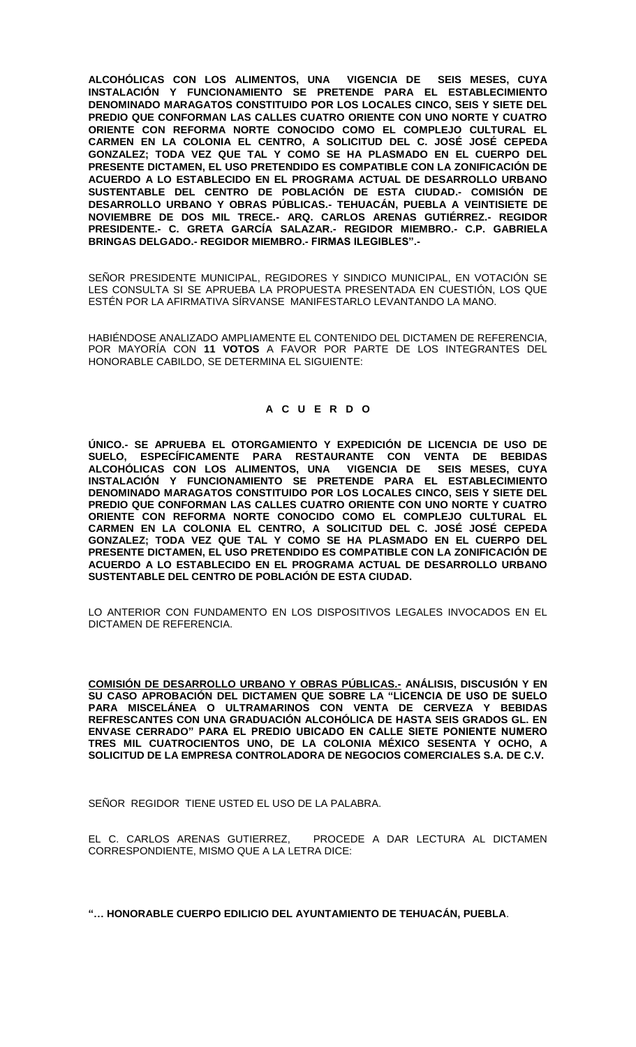**ALCOHÓLICAS CON LOS ALIMENTOS, UNA VIGENCIA DE SEIS MESES, CUYA INSTALACIÓN Y FUNCIONAMIENTO SE PRETENDE PARA EL ESTABLECIMIENTO DENOMINADO MARAGATOS CONSTITUIDO POR LOS LOCALES CINCO, SEIS Y SIETE DEL PREDIO QUE CONFORMAN LAS CALLES CUATRO ORIENTE CON UNO NORTE Y CUATRO ORIENTE CON REFORMA NORTE CONOCIDO COMO EL COMPLEJO CULTURAL EL CARMEN EN LA COLONIA EL CENTRO, A SOLICITUD DEL C. JOSÉ JOSÉ CEPEDA GONZALEZ; TODA VEZ QUE TAL Y COMO SE HA PLASMADO EN EL CUERPO DEL PRESENTE DICTAMEN, EL USO PRETENDIDO ES COMPATIBLE CON LA ZONIFICACIÓN DE ACUERDO A LO ESTABLECIDO EN EL PROGRAMA ACTUAL DE DESARROLLO URBANO SUSTENTABLE DEL CENTRO DE POBLACIÓN DE ESTA CIUDAD.- COMISIÓN DE DESARROLLO URBANO Y OBRAS PÚBLICAS.- TEHUACÁN, PUEBLA A VEINTISIETE DE NOVIEMBRE DE DOS MIL TRECE.- ARQ. CARLOS ARENAS GUTIÉRREZ.- REGIDOR PRESIDENTE.- C. GRETA GARCÍA SALAZAR.- REGIDOR MIEMBRO.- C.P. GABRIELA BRINGAS DELGADO.- REGIDOR MIEMBRO.- FIRMAS ILEGIBLES".-**

SEÑOR PRESIDENTE MUNICIPAL, REGIDORES Y SINDICO MUNICIPAL, EN VOTACIÓN SE LES CONSULTA SI SE APRUEBA LA PROPUESTA PRESENTADA EN CUESTIÓN, LOS QUE ESTÉN POR LA AFIRMATIVA SÍRVANSE MANIFESTARLO LEVANTANDO LA MANO.

HABIÉNDOSE ANALIZADO AMPLIAMENTE EL CONTENIDO DEL DICTAMEN DE REFERENCIA, POR MAYORÍA CON **11 VOTOS** A FAVOR POR PARTE DE LOS INTEGRANTES DEL HONORABLE CABILDO, SE DETERMINA EL SIGUIENTE:

# **A C U E R D O**

**ÚNICO.- SE APRUEBA EL OTORGAMIENTO Y EXPEDICIÓN DE LICENCIA DE USO DE SUELO, ESPECÍFICAMENTE PARA RESTAURANTE CON VENTA DE BEBIDAS ALCOHÓLICAS CON LOS ALIMENTOS, UNA VIGENCIA DE SEIS MESES, CUYA INSTALACIÓN Y FUNCIONAMIENTO SE PRETENDE PARA EL ESTABLECIMIENTO DENOMINADO MARAGATOS CONSTITUIDO POR LOS LOCALES CINCO, SEIS Y SIETE DEL PREDIO QUE CONFORMAN LAS CALLES CUATRO ORIENTE CON UNO NORTE Y CUATRO ORIENTE CON REFORMA NORTE CONOCIDO COMO EL COMPLEJO CULTURAL EL CARMEN EN LA COLONIA EL CENTRO, A SOLICITUD DEL C. JOSÉ JOSÉ CEPEDA GONZALEZ; TODA VEZ QUE TAL Y COMO SE HA PLASMADO EN EL CUERPO DEL PRESENTE DICTAMEN, EL USO PRETENDIDO ES COMPATIBLE CON LA ZONIFICACIÓN DE ACUERDO A LO ESTABLECIDO EN EL PROGRAMA ACTUAL DE DESARROLLO URBANO SUSTENTABLE DEL CENTRO DE POBLACIÓN DE ESTA CIUDAD.**

LO ANTERIOR CON FUNDAMENTO EN LOS DISPOSITIVOS LEGALES INVOCADOS EN EL DICTAMEN DE REFERENCIA.

**COMISIÓN DE DESARROLLO URBANO Y OBRAS PÚBLICAS.- ANÁLISIS, DISCUSIÓN Y EN SU CASO APROBACIÓN DEL DICTAMEN QUE SOBRE LA "LICENCIA DE USO DE SUELO PARA MISCELÁNEA O ULTRAMARINOS CON VENTA DE CERVEZA Y BEBIDAS REFRESCANTES CON UNA GRADUACIÓN ALCOHÓLICA DE HASTA SEIS GRADOS GL. EN ENVASE CERRADO" PARA EL PREDIO UBICADO EN CALLE SIETE PONIENTE NUMERO TRES MIL CUATROCIENTOS UNO, DE LA COLONIA MÉXICO SESENTA Y OCHO, A SOLICITUD DE LA EMPRESA CONTROLADORA DE NEGOCIOS COMERCIALES S.A. DE C.V.**

SEÑOR REGIDOR TIENE USTED EL USO DE LA PALABRA.

EL C. CARLOS ARENAS GUTIERREZ, PROCEDE A DAR LECTURA AL DICTAMEN CORRESPONDIENTE, MISMO QUE A LA LETRA DICE:

**"… HONORABLE CUERPO EDILICIO DEL AYUNTAMIENTO DE TEHUACÁN, PUEBLA**.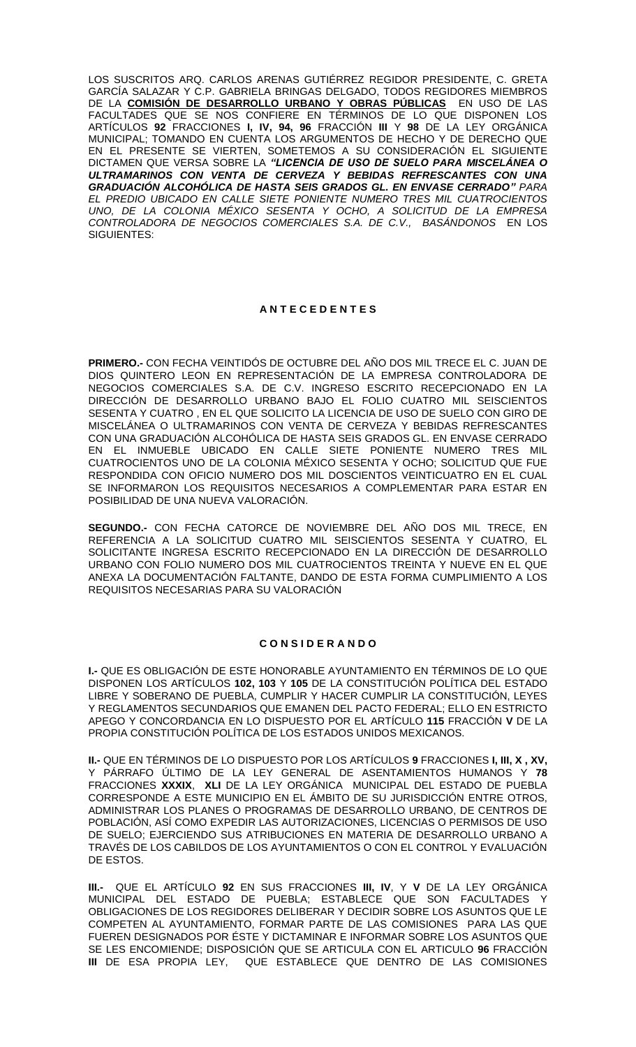LOS SUSCRITOS ARQ. CARLOS ARENAS GUTIÉRREZ REGIDOR PRESIDENTE, C. GRETA GARCÍA SALAZAR Y C.P. GABRIELA BRINGAS DELGADO, TODOS REGIDORES MIEMBROS DE LA **COMISIÓN DE DESARROLLO URBANO Y OBRAS PÚBLICAS** EN USO DE LAS FACULTADES QUE SE NOS CONFIERE EN TÉRMINOS DE LO QUE DISPONEN LOS ARTÍCULOS **92** FRACCIONES **I, IV, 94, 96** FRACCIÓN **III** Y **98** DE LA LEY ORGÁNICA MUNICIPAL; TOMANDO EN CUENTA LOS ARGUMENTOS DE HECHO Y DE DERECHO QUE EN EL PRESENTE SE VIERTEN, SOMETEMOS A SU CONSIDERACIÓN EL SIGUIENTE DICTAMEN QUE VERSA SOBRE LA *"LICENCIA DE USO DE SUELO PARA MISCELÁNEA O ULTRAMARINOS CON VENTA DE CERVEZA Y BEBIDAS REFRESCANTES CON UNA GRADUACIÓN ALCOHÓLICA DE HASTA SEIS GRADOS GL. EN ENVASE CERRADO" PARA EL PREDIO UBICADO EN CALLE SIETE PONIENTE NUMERO TRES MIL CUATROCIENTOS UNO, DE LA COLONIA MÉXICO SESENTA Y OCHO, A SOLICITUD DE LA EMPRESA CONTROLADORA DE NEGOCIOS COMERCIALES S.A. DE C.V., BASÁNDONOS* EN LOS SIGUIENTES:

## **A N T E C E D E N T E S**

**PRIMERO.-** CON FECHA VEINTIDÓS DE OCTUBRE DEL AÑO DOS MIL TRECE EL C. JUAN DE DIOS QUINTERO LEON EN REPRESENTACIÓN DE LA EMPRESA CONTROLADORA DE NEGOCIOS COMERCIALES S.A. DE C.V. INGRESO ESCRITO RECEPCIONADO EN LA DIRECCIÓN DE DESARROLLO URBANO BAJO EL FOLIO CUATRO MIL SEISCIENTOS SESENTA Y CUATRO , EN EL QUE SOLICITO LA LICENCIA DE USO DE SUELO CON GIRO DE MISCELÁNEA O ULTRAMARINOS CON VENTA DE CERVEZA Y BEBIDAS REFRESCANTES CON UNA GRADUACIÓN ALCOHÓLICA DE HASTA SEIS GRADOS GL. EN ENVASE CERRADO EN EL INMUEBLE UBICADO EN CALLE SIETE PONIENTE NUMERO TRES MIL CUATROCIENTOS UNO DE LA COLONIA MÉXICO SESENTA Y OCHO; SOLICITUD QUE FUE RESPONDIDA CON OFICIO NUMERO DOS MIL DOSCIENTOS VEINTICUATRO EN EL CUAL SE INFORMARON LOS REQUISITOS NECESARIOS A COMPLEMENTAR PARA ESTAR EN POSIBILIDAD DE UNA NUEVA VALORACIÓN.

**SEGUNDO.-** CON FECHA CATORCE DE NOVIEMBRE DEL AÑO DOS MIL TRECE, EN REFERENCIA A LA SOLICITUD CUATRO MIL SEISCIENTOS SESENTA Y CUATRO, EL SOLICITANTE INGRESA ESCRITO RECEPCIONADO EN LA DIRECCIÓN DE DESARROLLO URBANO CON FOLIO NUMERO DOS MIL CUATROCIENTOS TREINTA Y NUEVE EN EL QUE ANEXA LA DOCUMENTACIÓN FALTANTE, DANDO DE ESTA FORMA CUMPLIMIENTO A LOS REQUISITOS NECESARIAS PARA SU VALORACIÓN

### **C O N S I D E R A N D O**

**I.-** QUE ES OBLIGACIÓN DE ESTE HONORABLE AYUNTAMIENTO EN TÉRMINOS DE LO QUE DISPONEN LOS ARTÍCULOS **102, 103** Y **105** DE LA CONSTITUCIÓN POLÍTICA DEL ESTADO LIBRE Y SOBERANO DE PUEBLA, CUMPLIR Y HACER CUMPLIR LA CONSTITUCIÓN, LEYES Y REGLAMENTOS SECUNDARIOS QUE EMANEN DEL PACTO FEDERAL; ELLO EN ESTRICTO APEGO Y CONCORDANCIA EN LO DISPUESTO POR EL ARTÍCULO **115** FRACCIÓN **V** DE LA PROPIA CONSTITUCIÓN POLÍTICA DE LOS ESTADOS UNIDOS MEXICANOS.

**II.-** QUE EN TÉRMINOS DE LO DISPUESTO POR LOS ARTÍCULOS **9** FRACCIONES **I, III, X , XV,**  Y PÁRRAFO ÚLTIMO DE LA LEY GENERAL DE ASENTAMIENTOS HUMANOS Y **78** FRACCIONES **XXXIX**, **XLI** DE LA LEY ORGÁNICA MUNICIPAL DEL ESTADO DE PUEBLA CORRESPONDE A ESTE MUNICIPIO EN EL ÁMBITO DE SU JURISDICCIÓN ENTRE OTROS, ADMINISTRAR LOS PLANES O PROGRAMAS DE DESARROLLO URBANO, DE CENTROS DE POBLACIÓN, ASÍ COMO EXPEDIR LAS AUTORIZACIONES, LICENCIAS O PERMISOS DE USO DE SUELO; EJERCIENDO SUS ATRIBUCIONES EN MATERIA DE DESARROLLO URBANO A TRAVÉS DE LOS CABILDOS DE LOS AYUNTAMIENTOS O CON EL CONTROL Y EVALUACIÓN DE ESTOS.

**III.-** QUE EL ARTÍCULO **92** EN SUS FRACCIONES **III, IV**, Y **V** DE LA LEY ORGÁNICA MUNICIPAL DEL ESTADO DE PUEBLA; ESTABLECE QUE SON FACULTADES Y OBLIGACIONES DE LOS REGIDORES DELIBERAR Y DECIDIR SOBRE LOS ASUNTOS QUE LE COMPETEN AL AYUNTAMIENTO, FORMAR PARTE DE LAS COMISIONES PARA LAS QUE FUEREN DESIGNADOS POR ÉSTE Y DICTAMINAR E INFORMAR SOBRE LOS ASUNTOS QUE SE LES ENCOMIENDE; DISPOSICIÓN QUE SE ARTICULA CON EL ARTICULO **96** FRACCIÓN **III** DE ESA PROPIA LEY, QUE ESTABLECE QUE DENTRO DE LAS COMISIONES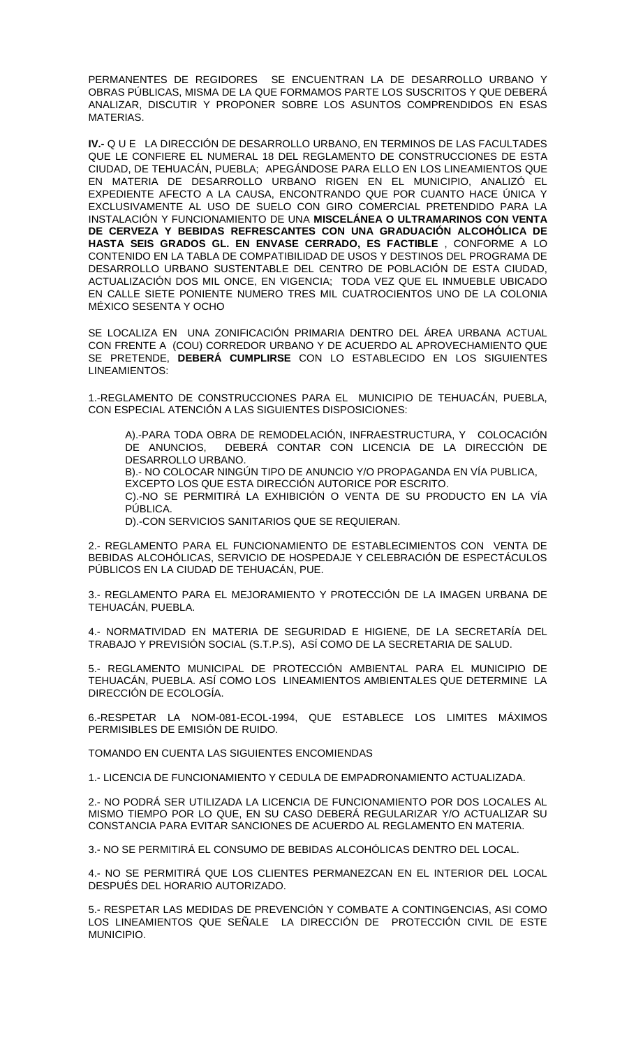PERMANENTES DE REGIDORES SE ENCUENTRAN LA DE DESARROLLO URBANO Y OBRAS PÚBLICAS, MISMA DE LA QUE FORMAMOS PARTE LOS SUSCRITOS Y QUE DEBERÁ ANALIZAR, DISCUTIR Y PROPONER SOBRE LOS ASUNTOS COMPRENDIDOS EN ESAS MATERIAS.

**IV.-** Q U E LA DIRECCIÓN DE DESARROLLO URBANO, EN TERMINOS DE LAS FACULTADES QUE LE CONFIERE EL NUMERAL 18 DEL REGLAMENTO DE CONSTRUCCIONES DE ESTA CIUDAD, DE TEHUACÁN, PUEBLA; APEGÁNDOSE PARA ELLO EN LOS LINEAMIENTOS QUE EN MATERIA DE DESARROLLO URBANO RIGEN EN EL MUNICIPIO, ANALIZÓ EL EXPEDIENTE AFECTO A LA CAUSA, ENCONTRANDO QUE POR CUANTO HACE ÚNICA Y EXCLUSIVAMENTE AL USO DE SUELO CON GIRO COMERCIAL PRETENDIDO PARA LA INSTALACIÓN Y FUNCIONAMIENTO DE UNA **MISCELÁNEA O ULTRAMARINOS CON VENTA DE CERVEZA Y BEBIDAS REFRESCANTES CON UNA GRADUACIÓN ALCOHÓLICA DE HASTA SEIS GRADOS GL. EN ENVASE CERRADO, ES FACTIBLE** , CONFORME A LO CONTENIDO EN LA TABLA DE COMPATIBILIDAD DE USOS Y DESTINOS DEL PROGRAMA DE DESARROLLO URBANO SUSTENTABLE DEL CENTRO DE POBLACIÓN DE ESTA CIUDAD, ACTUALIZACIÓN DOS MIL ONCE, EN VIGENCIA; TODA VEZ QUE EL INMUEBLE UBICADO EN CALLE SIETE PONIENTE NUMERO TRES MIL CUATROCIENTOS UNO DE LA COLONIA MÉXICO SESENTA Y OCHO

SE LOCALIZA EN UNA ZONIFICACIÓN PRIMARIA DENTRO DEL ÁREA URBANA ACTUAL CON FRENTE A (COU) CORREDOR URBANO Y DE ACUERDO AL APROVECHAMIENTO QUE SE PRETENDE, **DEBERÁ CUMPLIRSE** CON LO ESTABLECIDO EN LOS SIGUIENTES LINEAMIENTOS:

1.-REGLAMENTO DE CONSTRUCCIONES PARA EL MUNICIPIO DE TEHUACÁN, PUEBLA, CON ESPECIAL ATENCIÓN A LAS SIGUIENTES DISPOSICIONES:

A).-PARA TODA OBRA DE REMODELACIÓN, INFRAESTRUCTURA, Y COLOCACIÓN DE ANUNCIOS, DEBERÁ CONTAR CON LICENCIA DE LA DIRECCIÓN DE DESARROLLO URBANO.

B).- NO COLOCAR NINGÚN TIPO DE ANUNCIO Y/O PROPAGANDA EN VÍA PUBLICA, EXCEPTO LOS QUE ESTA DIRECCIÓN AUTORICE POR ESCRITO.

C).-NO SE PERMITIRÁ LA EXHIBICIÓN O VENTA DE SU PRODUCTO EN LA VÍA PÚBLICA.

D).-CON SERVICIOS SANITARIOS QUE SE REQUIERAN.

2.- REGLAMENTO PARA EL FUNCIONAMIENTO DE ESTABLECIMIENTOS CON VENTA DE BEBIDAS ALCOHÓLICAS, SERVICIO DE HOSPEDAJE Y CELEBRACIÓN DE ESPECTÁCULOS PÚBLICOS EN LA CIUDAD DE TEHUACÁN, PUE.

3.- REGLAMENTO PARA EL MEJORAMIENTO Y PROTECCIÓN DE LA IMAGEN URBANA DE TEHUACÁN, PUEBLA.

4.- NORMATIVIDAD EN MATERIA DE SEGURIDAD E HIGIENE, DE LA SECRETARÍA DEL TRABAJO Y PREVISIÓN SOCIAL (S.T.P.S), ASÍ COMO DE LA SECRETARIA DE SALUD.

5.- REGLAMENTO MUNICIPAL DE PROTECCIÓN AMBIENTAL PARA EL MUNICIPIO DE TEHUACÁN, PUEBLA. ASÍ COMO LOS LINEAMIENTOS AMBIENTALES QUE DETERMINE LA DIRECCIÓN DE ECOLOGÍA.

6.-RESPETAR LA NOM-081-ECOL-1994, QUE ESTABLECE LOS LIMITES MÁXIMOS PERMISIBLES DE EMISIÓN DE RUIDO.

TOMANDO EN CUENTA LAS SIGUIENTES ENCOMIENDAS

1.- LICENCIA DE FUNCIONAMIENTO Y CEDULA DE EMPADRONAMIENTO ACTUALIZADA.

2.- NO PODRÁ SER UTILIZADA LA LICENCIA DE FUNCIONAMIENTO POR DOS LOCALES AL MISMO TIEMPO POR LO QUE, EN SU CASO DEBERÁ REGULARIZAR Y/O ACTUALIZAR SU CONSTANCIA PARA EVITAR SANCIONES DE ACUERDO AL REGLAMENTO EN MATERIA.

3.- NO SE PERMITIRÁ EL CONSUMO DE BEBIDAS ALCOHÓLICAS DENTRO DEL LOCAL.

4.- NO SE PERMITIRÁ QUE LOS CLIENTES PERMANEZCAN EN EL INTERIOR DEL LOCAL DESPUÉS DEL HORARIO AUTORIZADO.

5.- RESPETAR LAS MEDIDAS DE PREVENCIÓN Y COMBATE A CONTINGENCIAS, ASI COMO LOS LINEAMIENTOS QUE SEÑALE LA DIRECCIÓN DE PROTECCIÓN CIVIL DE ESTE MUNICIPIO.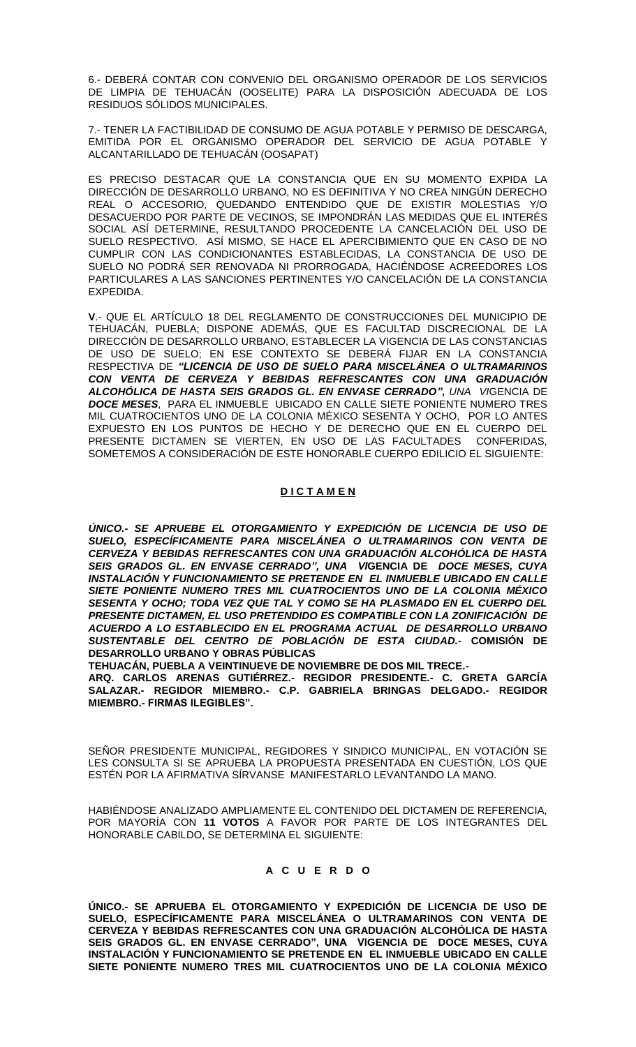6.- DEBERÁ CONTAR CON CONVENIO DEL ORGANISMO OPERADOR DE LOS SERVICIOS DE LIMPIA DE TEHUACÁN (OOSELITE) PARA LA DISPOSICIÓN ADECUADA DE LOS RESIDUOS SÓLIDOS MUNICIPALES.

7.- TENER LA FACTIBILIDAD DE CONSUMO DE AGUA POTABLE Y PERMISO DE DESCARGA, EMITIDA POR EL ORGANISMO OPERADOR DEL SERVICIO DE AGUA POTABLE Y ALCANTARILLADO DE TEHUACÁN (OOSAPAT)

ES PRECISO DESTACAR QUE LA CONSTANCIA QUE EN SU MOMENTO EXPIDA LA DIRECCIÓN DE DESARROLLO URBANO, NO ES DEFINITIVA Y NO CREA NINGÚN DERECHO REAL O ACCESORIO, QUEDANDO ENTENDIDO QUE DE EXISTIR MOLESTIAS Y/O DESACUERDO POR PARTE DE VECINOS, SE IMPONDRÁN LAS MEDIDAS QUE EL INTERÉS SOCIAL ASÍ DETERMINE, RESULTANDO PROCEDENTE LA CANCELACIÓN DEL USO DE SUELO RESPECTIVO. ASÍ MISMO, SE HACE EL APERCIBIMIENTO QUE EN CASO DE NO CUMPLIR CON LAS CONDICIONANTES ESTABLECIDAS, LA CONSTANCIA DE USO DE SUELO NO PODRÁ SER RENOVADA NI PRORROGADA, HACIÉNDOSE ACREEDORES LOS PARTICULARES A LAS SANCIONES PERTINENTES Y/O CANCELACIÓN DE LA CONSTANCIA EXPEDIDA.

**V**.- QUE EL ARTÍCULO 18 DEL REGLAMENTO DE CONSTRUCCIONES DEL MUNICIPIO DE TEHUACÁN, PUEBLA; DISPONE ADEMÁS, QUE ES FACULTAD DISCRECIONAL DE LA DIRECCIÓN DE DESARROLLO URBANO, ESTABLECER LA VIGENCIA DE LAS CONSTANCIAS DE USO DE SUELO; EN ESE CONTEXTO SE DEBERÁ FIJAR EN LA CONSTANCIA RESPECTIVA DE *"LICENCIA DE USO DE SUELO PARA MISCELÁNEA O ULTRAMARINOS CON VENTA DE CERVEZA Y BEBIDAS REFRESCANTES CON UNA GRADUACIÓN ALCOHÓLICA DE HASTA SEIS GRADOS GL. EN ENVASE CERRADO", UNA VI*GENCIA DE *DOCE MESES*, PARA EL INMUEBLE UBICADO EN CALLE SIETE PONIENTE NUMERO TRES MIL CUATROCIENTOS UNO DE LA COLONIA MÉXICO SESENTA Y OCHO, POR LO ANTES EXPUESTO EN LOS PUNTOS DE HECHO Y DE DERECHO QUE EN EL CUERPO DEL PRESENTE DICTAMEN SE VIERTEN, EN USO DE LAS FACULTADES CONFERIDAS, SOMETEMOS A CONSIDERACIÓN DE ESTE HONORABLE CUERPO EDILICIO EL SIGUIENTE:

# **D I C T A M E N**

*ÚNICO.- SE APRUEBE EL OTORGAMIENTO Y EXPEDICIÓN DE LICENCIA DE USO DE SUELO, ESPECÍFICAMENTE PARA MISCELÁNEA O ULTRAMARINOS CON VENTA DE CERVEZA Y BEBIDAS REFRESCANTES CON UNA GRADUACIÓN ALCOHÓLICA DE HASTA SEIS GRADOS GL. EN ENVASE CERRADO", UNA VI***GENCIA DE** *DOCE MESES, CUYA INSTALACIÓN Y FUNCIONAMIENTO SE PRETENDE EN EL INMUEBLE UBICADO EN CALLE SIETE PONIENTE NUMERO TRES MIL CUATROCIENTOS UNO DE LA COLONIA MÉXICO SESENTA Y OCHO; TODA VEZ QUE TAL Y COMO SE HA PLASMADO EN EL CUERPO DEL PRESENTE DICTAMEN, EL USO PRETENDIDO ES COMPATIBLE CON LA ZONIFICACIÓN DE ACUERDO A LO ESTABLECIDO EN EL PROGRAMA ACTUAL DE DESARROLLO URBANO SUSTENTABLE DEL CENTRO DE POBLACIÓN DE ESTA CIUDAD.-* **COMISIÓN DE DESARROLLO URBANO Y OBRAS PÚBLICAS** 

**TEHUACÁN, PUEBLA A VEINTINUEVE DE NOVIEMBRE DE DOS MIL TRECE.-**

**ARQ. CARLOS ARENAS GUTIÉRREZ.- REGIDOR PRESIDENTE.- C. GRETA GARCÍA SALAZAR.- REGIDOR MIEMBRO.- C.P. GABRIELA BRINGAS DELGADO.- REGIDOR MIEMBRO.- FIRMAS ILEGIBLES".**

SEÑOR PRESIDENTE MUNICIPAL, REGIDORES Y SINDICO MUNICIPAL, EN VOTACIÓN SE LES CONSULTA SI SE APRUEBA LA PROPUESTA PRESENTADA EN CUESTIÓN, LOS QUE ESTÉN POR LA AFIRMATIVA SÍRVANSE MANIFESTARLO LEVANTANDO LA MANO.

HABIÉNDOSE ANALIZADO AMPLIAMENTE EL CONTENIDO DEL DICTAMEN DE REFERENCIA, POR MAYORÍA CON **11 VOTOS** A FAVOR POR PARTE DE LOS INTEGRANTES DEL HONORABLE CABILDO, SE DETERMINA EL SIGUIENTE:

# **A C U E R D O**

**ÚNICO.- SE APRUEBA EL OTORGAMIENTO Y EXPEDICIÓN DE LICENCIA DE USO DE SUELO, ESPECÍFICAMENTE PARA MISCELÁNEA O ULTRAMARINOS CON VENTA DE CERVEZA Y BEBIDAS REFRESCANTES CON UNA GRADUACIÓN ALCOHÓLICA DE HASTA SEIS GRADOS GL. EN ENVASE CERRADO", UNA VIGENCIA DE DOCE MESES, CUYA INSTALACIÓN Y FUNCIONAMIENTO SE PRETENDE EN EL INMUEBLE UBICADO EN CALLE SIETE PONIENTE NUMERO TRES MIL CUATROCIENTOS UNO DE LA COLONIA MÉXICO**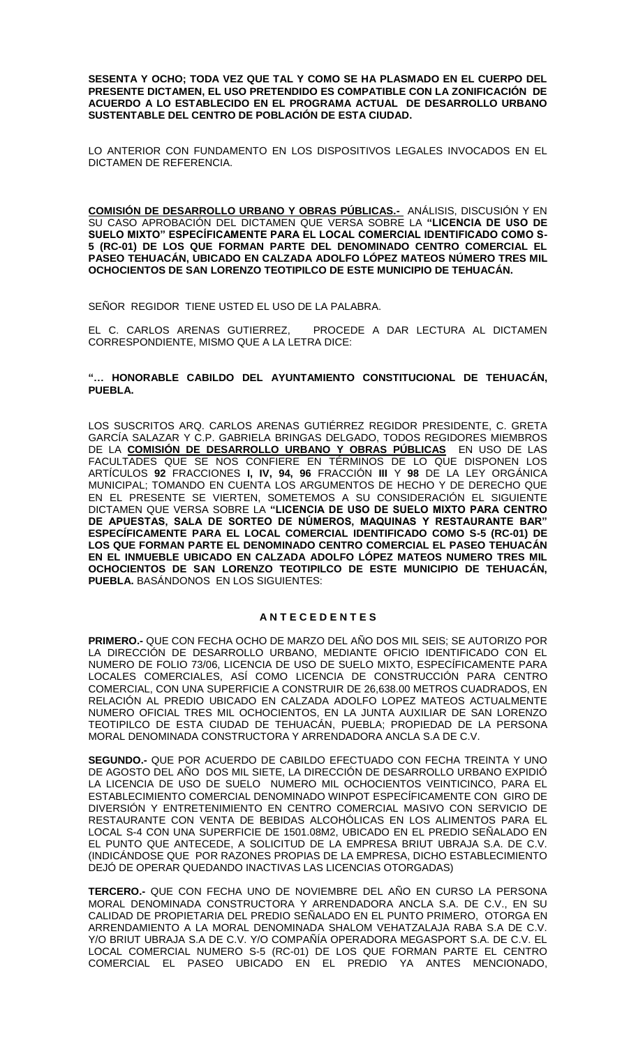**SESENTA Y OCHO; TODA VEZ QUE TAL Y COMO SE HA PLASMADO EN EL CUERPO DEL PRESENTE DICTAMEN, EL USO PRETENDIDO ES COMPATIBLE CON LA ZONIFICACIÓN DE ACUERDO A LO ESTABLECIDO EN EL PROGRAMA ACTUAL DE DESARROLLO URBANO SUSTENTABLE DEL CENTRO DE POBLACIÓN DE ESTA CIUDAD.**

LO ANTERIOR CON FUNDAMENTO EN LOS DISPOSITIVOS LEGALES INVOCADOS EN EL DICTAMEN DE REFERENCIA.

**COMISIÓN DE DESARROLLO URBANO Y OBRAS PÚBLICAS.-** ANÁLISIS, DISCUSIÓN Y EN SU CASO APROBACIÓN DEL DICTAMEN QUE VERSA SOBRE LA **"LICENCIA DE USO DE SUELO MIXTO" ESPECÍFICAMENTE PARA EL LOCAL COMERCIAL IDENTIFICADO COMO S-5 (RC-01) DE LOS QUE FORMAN PARTE DEL DENOMINADO CENTRO COMERCIAL EL PASEO TEHUACÁN, UBICADO EN CALZADA ADOLFO LÓPEZ MATEOS NÚMERO TRES MIL OCHOCIENTOS DE SAN LORENZO TEOTIPILCO DE ESTE MUNICIPIO DE TEHUACÁN.** 

SEÑOR REGIDOR TIENE USTED EL USO DE LA PALABRA.

EL C. CARLOS ARENAS GUTIERREZ, PROCEDE A DAR LECTURA AL DICTAMEN CORRESPONDIENTE, MISMO QUE A LA LETRA DICE:

### **"… HONORABLE CABILDO DEL AYUNTAMIENTO CONSTITUCIONAL DE TEHUACÁN, PUEBLA.**

LOS SUSCRITOS ARQ. CARLOS ARENAS GUTIÉRREZ REGIDOR PRESIDENTE, C. GRETA GARCÍA SALAZAR Y C.P. GABRIELA BRINGAS DELGADO, TODOS REGIDORES MIEMBROS DE LA **COMISIÓN DE DESARROLLO URBANO Y OBRAS PÚBLICAS** EN USO DE LAS FACULTADES QUE SE NOS CONFIERE EN TÉRMINOS DE LO QUE DISPONEN LOS ARTÍCULOS **92** FRACCIONES **I, IV, 94, 96** FRACCIÓN **III** Y **98** DE LA LEY ORGÁNICA MUNICIPAL; TOMANDO EN CUENTA LOS ARGUMENTOS DE HECHO Y DE DERECHO QUE EN EL PRESENTE SE VIERTEN, SOMETEMOS A SU CONSIDERACIÓN EL SIGUIENTE DICTAMEN QUE VERSA SOBRE LA **"LICENCIA DE USO DE SUELO MIXTO PARA CENTRO DE APUESTAS, SALA DE SORTEO DE NÚMEROS, MAQUINAS Y RESTAURANTE BAR" ESPECÍFICAMENTE PARA EL LOCAL COMERCIAL IDENTIFICADO COMO S-5 (RC-01) DE LOS QUE FORMAN PARTE EL DENOMINADO CENTRO COMERCIAL EL PASEO TEHUACÁN EN EL INMUEBLE UBICADO EN CALZADA ADOLFO LÓPEZ MATEOS NUMERO TRES MIL OCHOCIENTOS DE SAN LORENZO TEOTIPILCO DE ESTE MUNICIPIO DE TEHUACÁN, PUEBLA.** BASÁNDONOS EN LOS SIGUIENTES:

### **A N T E C E D E N T E S**

**PRIMERO.-** QUE CON FECHA OCHO DE MARZO DEL AÑO DOS MIL SEIS; SE AUTORIZO POR LA DIRECCIÓN DE DESARROLLO URBANO, MEDIANTE OFICIO IDENTIFICADO CON EL NUMERO DE FOLIO 73/06, LICENCIA DE USO DE SUELO MIXTO, ESPECÍFICAMENTE PARA LOCALES COMERCIALES, ASÍ COMO LICENCIA DE CONSTRUCCIÓN PARA CENTRO COMERCIAL, CON UNA SUPERFICIE A CONSTRUIR DE 26,638.00 METROS CUADRADOS, EN RELACIÓN AL PREDIO UBICADO EN CALZADA ADOLFO LOPEZ MATEOS ACTUALMENTE NUMERO OFICIAL TRES MIL OCHOCIENTOS, EN LA JUNTA AUXILIAR DE SAN LORENZO TEOTIPILCO DE ESTA CIUDAD DE TEHUACÁN, PUEBLA; PROPIEDAD DE LA PERSONA MORAL DENOMINADA CONSTRUCTORA Y ARRENDADORA ANCLA S.A DE C.V.

**SEGUNDO.-** QUE POR ACUERDO DE CABILDO EFECTUADO CON FECHA TREINTA Y UNO DE AGOSTO DEL AÑO DOS MIL SIETE, LA DIRECCIÓN DE DESARROLLO URBANO EXPIDIÓ LA LICENCIA DE USO DE SUELO NUMERO MIL OCHOCIENTOS VEINTICINCO, PARA EL ESTABLECIMIENTO COMERCIAL DENOMINADO WINPOT ESPECÍFICAMENTE CON GIRO DE DIVERSIÓN Y ENTRETENIMIENTO EN CENTRO COMERCIAL MASIVO CON SERVICIO DE RESTAURANTE CON VENTA DE BEBIDAS ALCOHÓLICAS EN LOS ALIMENTOS PARA EL LOCAL S-4 CON UNA SUPERFICIE DE 1501.08M2, UBICADO EN EL PREDIO SEÑALADO EN EL PUNTO QUE ANTECEDE, A SOLICITUD DE LA EMPRESA BRIUT UBRAJA S.A. DE C.V. (INDICÁNDOSE QUE POR RAZONES PROPIAS DE LA EMPRESA, DICHO ESTABLECIMIENTO DEJÓ DE OPERAR QUEDANDO INACTIVAS LAS LICENCIAS OTORGADAS)

**TERCERO.-** QUE CON FECHA UNO DE NOVIEMBRE DEL AÑO EN CURSO LA PERSONA MORAL DENOMINADA CONSTRUCTORA Y ARRENDADORA ANCLA S.A. DE C.V., EN SU CALIDAD DE PROPIETARIA DEL PREDIO SEÑALADO EN EL PUNTO PRIMERO, OTORGA EN ARRENDAMIENTO A LA MORAL DENOMINADA SHALOM VEHATZALAJA RABA S.A DE C.V. Y/O BRIUT UBRAJA S.A DE C.V. Y/O COMPAÑÍA OPERADORA MEGASPORT S.A. DE C.V. EL LOCAL COMERCIAL NUMERO S-5 (RC-01) DE LOS QUE FORMAN PARTE EL CENTRO COMERCIAL EL PASEO UBICADO EN EL PREDIO YA ANTES MENCIONADO,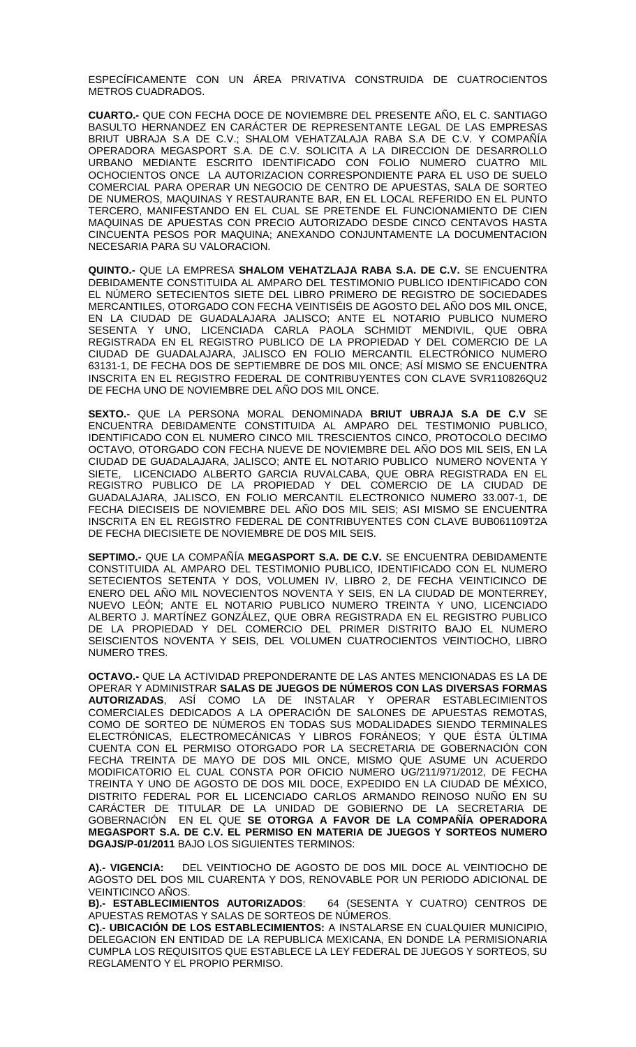ESPECÍFICAMENTE CON UN ÁREA PRIVATIVA CONSTRUIDA DE CUATROCIENTOS METROS CUADRADOS.

**CUARTO.-** QUE CON FECHA DOCE DE NOVIEMBRE DEL PRESENTE AÑO, EL C. SANTIAGO BASULTO HERNANDEZ EN CARÁCTER DE REPRESENTANTE LEGAL DE LAS EMPRESAS BRIUT UBRAJA S.A DE C.V.; SHALOM VEHATZALAJA RABA S.A DE C.V. Y COMPAÑÍA OPERADORA MEGASPORT S.A. DE C.V. SOLICITA A LA DIRECCION DE DESARROLLO URBANO MEDIANTE ESCRITO IDENTIFICADO CON FOLIO NUMERO CUATRO MIL OCHOCIENTOS ONCE LA AUTORIZACION CORRESPONDIENTE PARA EL USO DE SUELO COMERCIAL PARA OPERAR UN NEGOCIO DE CENTRO DE APUESTAS, SALA DE SORTEO DE NUMEROS, MAQUINAS Y RESTAURANTE BAR, EN EL LOCAL REFERIDO EN EL PUNTO TERCERO, MANIFESTANDO EN EL CUAL SE PRETENDE EL FUNCIONAMIENTO DE CIEN MAQUINAS DE APUESTAS CON PRECIO AUTORIZADO DESDE CINCO CENTAVOS HASTA CINCUENTA PESOS POR MAQUINA; ANEXANDO CONJUNTAMENTE LA DOCUMENTACION NECESARIA PARA SU VALORACION.

**QUINTO.-** QUE LA EMPRESA **SHALOM VEHATZLAJA RABA S.A. DE C.V.** SE ENCUENTRA DEBIDAMENTE CONSTITUIDA AL AMPARO DEL TESTIMONIO PUBLICO IDENTIFICADO CON EL NÚMERO SETECIENTOS SIETE DEL LIBRO PRIMERO DE REGISTRO DE SOCIEDADES MERCANTILES, OTORGADO CON FECHA VEINTISÉIS DE AGOSTO DEL AÑO DOS MIL ONCE, EN LA CIUDAD DE GUADALAJARA JALISCO; ANTE EL NOTARIO PUBLICO NUMERO SESENTA Y UNO, LICENCIADA CARLA PAOLA SCHMIDT MENDIVIL, QUE OBRA REGISTRADA EN EL REGISTRO PUBLICO DE LA PROPIEDAD Y DEL COMERCIO DE LA CIUDAD DE GUADALAJARA, JALISCO EN FOLIO MERCANTIL ELECTRÓNICO NUMERO 63131-1, DE FECHA DOS DE SEPTIEMBRE DE DOS MIL ONCE; ASÍ MISMO SE ENCUENTRA INSCRITA EN EL REGISTRO FEDERAL DE CONTRIBUYENTES CON CLAVE SVR110826QU2 DE FECHA UNO DE NOVIEMBRE DEL AÑO DOS MIL ONCE.

**SEXTO.-** QUE LA PERSONA MORAL DENOMINADA **BRIUT UBRAJA S.A DE C.V** SE ENCUENTRA DEBIDAMENTE CONSTITUIDA AL AMPARO DEL TESTIMONIO PUBLICO, IDENTIFICADO CON EL NUMERO CINCO MIL TRESCIENTOS CINCO, PROTOCOLO DECIMO OCTAVO, OTORGADO CON FECHA NUEVE DE NOVIEMBRE DEL AÑO DOS MIL SEIS, EN LA CIUDAD DE GUADALAJARA, JALISCO; ANTE EL NOTARIO PUBLICO NUMERO NOVENTA Y SIETE, LICENCIADO ALBERTO GARCIA RUVALCABA, QUE OBRA REGISTRADA EN EL REGISTRO PUBLICO DE LA PROPIEDAD Y DEL COMERCIO DE LA CIUDAD DE GUADALAJARA, JALISCO, EN FOLIO MERCANTIL ELECTRONICO NUMERO 33.007-1, DE FECHA DIECISEIS DE NOVIEMBRE DEL AÑO DOS MIL SEIS; ASI MISMO SE ENCUENTRA INSCRITA EN EL REGISTRO FEDERAL DE CONTRIBUYENTES CON CLAVE BUB061109T2A DE FECHA DIECISIETE DE NOVIEMBRE DE DOS MIL SEIS.

**SEPTIMO.-** QUE LA COMPAÑÍA **MEGASPORT S.A. DE C.V.** SE ENCUENTRA DEBIDAMENTE CONSTITUIDA AL AMPARO DEL TESTIMONIO PUBLICO, IDENTIFICADO CON EL NUMERO SETECIENTOS SETENTA Y DOS, VOLUMEN IV, LIBRO 2, DE FECHA VEINTICINCO DE ENERO DEL AÑO MIL NOVECIENTOS NOVENTA Y SEIS, EN LA CIUDAD DE MONTERREY, NUEVO LEÓN; ANTE EL NOTARIO PUBLICO NUMERO TREINTA Y UNO, LICENCIADO ALBERTO J. MARTÍNEZ GONZÁLEZ, QUE OBRA REGISTRADA EN EL REGISTRO PUBLICO DE LA PROPIEDAD Y DEL COMERCIO DEL PRIMER DISTRITO BAJO EL NUMERO SEISCIENTOS NOVENTA Y SEIS, DEL VOLUMEN CUATROCIENTOS VEINTIOCHO, LIBRO NUMERO TRES.

**OCTAVO.-** QUE LA ACTIVIDAD PREPONDERANTE DE LAS ANTES MENCIONADAS ES LA DE OPERAR Y ADMINISTRAR **SALAS DE JUEGOS DE NÚMEROS CON LAS DIVERSAS FORMAS AUTORIZADAS**, ASÍ COMO LA DE INSTALAR Y OPERAR ESTABLECIMIENTOS COMERCIALES DEDICADOS A LA OPERACIÓN DE SALONES DE APUESTAS REMOTAS, COMO DE SORTEO DE NÚMEROS EN TODAS SUS MODALIDADES SIENDO TERMINALES ELECTRÓNICAS, ELECTROMECÁNICAS Y LIBROS FORÁNEOS; Y QUE ÉSTA ÚLTIMA CUENTA CON EL PERMISO OTORGADO POR LA SECRETARIA DE GOBERNACIÓN CON FECHA TREINTA DE MAYO DE DOS MIL ONCE, MISMO QUE ASUME UN ACUERDO MODIFICATORIO EL CUAL CONSTA POR OFICIO NUMERO UG/211/971/2012, DE FECHA TREINTA Y UNO DE AGOSTO DE DOS MIL DOCE, EXPEDIDO EN LA CIUDAD DE MÉXICO, DISTRITO FEDERAL POR EL LICENCIADO CARLOS ARMANDO REINOSO NUÑO EN SU CARÁCTER DE TITULAR DE LA UNIDAD DE GOBIERNO DE LA SECRETARIA DE GOBERNACIÓN EN EL QUE **SE OTORGA A FAVOR DE LA COMPAÑÍA OPERADORA MEGASPORT S.A. DE C.V. EL PERMISO EN MATERIA DE JUEGOS Y SORTEOS NUMERO DGAJS/P-01/2011** BAJO LOS SIGUIENTES TERMINOS:

**A).- VIGENCIA:** DEL VEINTIOCHO DE AGOSTO DE DOS MIL DOCE AL VEINTIOCHO DE AGOSTO DEL DOS MIL CUARENTA Y DOS, RENOVABLE POR UN PERIODO ADICIONAL DE

VEINTICINCO ANOS.<br>**B).- ESTABLECIMIENTOS AUTORIZADOS**: **B).- ESTABLECIMIENTOS AUTORIZADOS**: 64 (SESENTA Y CUATRO) CENTROS DE APUESTAS REMOTAS Y SALAS DE SORTEOS DE NÚMEROS.

**C).- UBICACIÓN DE LOS ESTABLECIMIENTOS:** A INSTALARSE EN CUALQUIER MUNICIPIO, DELEGACION EN ENTIDAD DE LA REPUBLICA MEXICANA, EN DONDE LA PERMISIONARIA CUMPLA LOS REQUISITOS QUE ESTABLECE LA LEY FEDERAL DE JUEGOS Y SORTEOS, SU REGLAMENTO Y EL PROPIO PERMISO.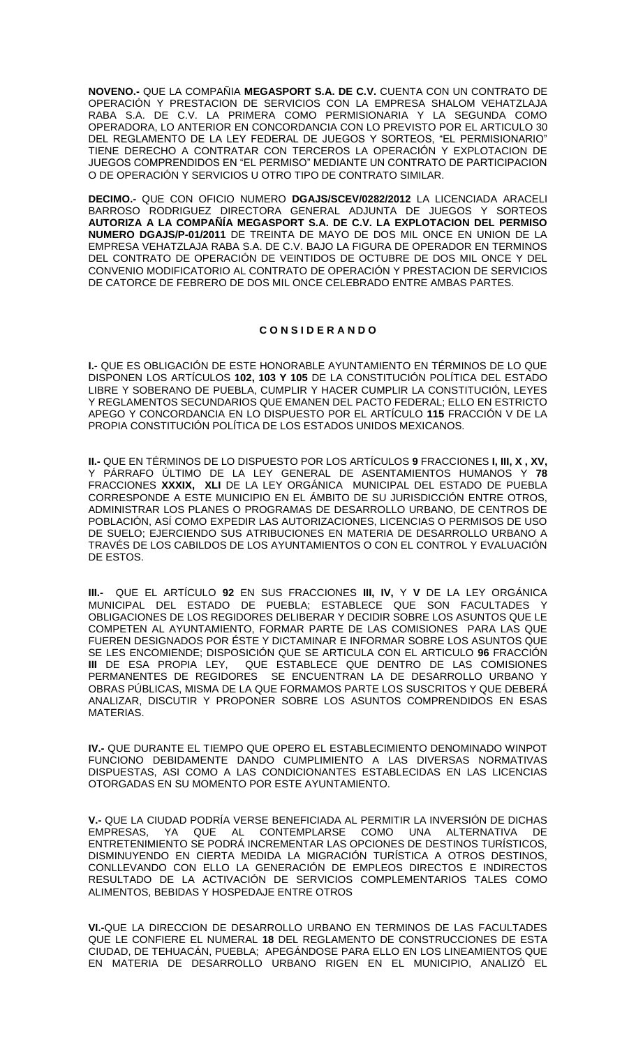**NOVENO.-** QUE LA COMPAÑIA **MEGASPORT S.A. DE C.V.** CUENTA CON UN CONTRATO DE OPERACIÓN Y PRESTACION DE SERVICIOS CON LA EMPRESA SHALOM VEHATZLAJA RABA S.A. DE C.V. LA PRIMERA COMO PERMISIONARIA Y LA SEGUNDA COMO OPERADORA, LO ANTERIOR EN CONCORDANCIA CON LO PREVISTO POR EL ARTICULO 30 DEL REGLAMENTO DE LA LEY FEDERAL DE JUEGOS Y SORTEOS, "EL PERMISIONARIO" TIENE DERECHO A CONTRATAR CON TERCEROS LA OPERACIÓN Y EXPLOTACION DE JUEGOS COMPRENDIDOS EN "EL PERMISO" MEDIANTE UN CONTRATO DE PARTICIPACION O DE OPERACIÓN Y SERVICIOS U OTRO TIPO DE CONTRATO SIMILAR.

**DECIMO.-** QUE CON OFICIO NUMERO **DGAJS/SCEV/0282/2012** LA LICENCIADA ARACELI BARROSO RODRIGUEZ DIRECTORA GENERAL ADJUNTA DE JUEGOS Y SORTEOS **AUTORIZA A LA COMPAÑÍA MEGASPORT S.A. DE C.V. LA EXPLOTACION DEL PERMISO NUMERO DGAJS/P-01/2011** DE TREINTA DE MAYO DE DOS MIL ONCE EN UNION DE LA EMPRESA VEHATZLAJA RABA S.A. DE C.V. BAJO LA FIGURA DE OPERADOR EN TERMINOS DEL CONTRATO DE OPERACIÓN DE VEINTIDOS DE OCTUBRE DE DOS MIL ONCE Y DEL CONVENIO MODIFICATORIO AL CONTRATO DE OPERACIÓN Y PRESTACION DE SERVICIOS DE CATORCE DE FEBRERO DE DOS MIL ONCE CELEBRADO ENTRE AMBAS PARTES.

#### **C O N S I D E R A N D O**

**I.-** QUE ES OBLIGACIÓN DE ESTE HONORABLE AYUNTAMIENTO EN TÉRMINOS DE LO QUE DISPONEN LOS ARTÍCULOS **102, 103 Y 105** DE LA CONSTITUCIÓN POLÍTICA DEL ESTADO LIBRE Y SOBERANO DE PUEBLA, CUMPLIR Y HACER CUMPLIR LA CONSTITUCIÓN, LEYES Y REGLAMENTOS SECUNDARIOS QUE EMANEN DEL PACTO FEDERAL; ELLO EN ESTRICTO APEGO Y CONCORDANCIA EN LO DISPUESTO POR EL ARTÍCULO **115** FRACCIÓN V DE LA PROPIA CONSTITUCIÓN POLÍTICA DE LOS ESTADOS UNIDOS MEXICANOS.

**II.-** QUE EN TÉRMINOS DE LO DISPUESTO POR LOS ARTÍCULOS **9** FRACCIONES **I, III, X , XV,** Y PÁRRAFO ÚLTIMO DE LA LEY GENERAL DE ASENTAMIENTOS HUMANOS Y **78** FRACCIONES **XXXIX, XLI** DE LA LEY ORGÁNICA MUNICIPAL DEL ESTADO DE PUEBLA CORRESPONDE A ESTE MUNICIPIO EN EL ÁMBITO DE SU JURISDICCIÓN ENTRE OTROS, ADMINISTRAR LOS PLANES O PROGRAMAS DE DESARROLLO URBANO, DE CENTROS DE POBLACIÓN, ASÍ COMO EXPEDIR LAS AUTORIZACIONES, LICENCIAS O PERMISOS DE USO DE SUELO; EJERCIENDO SUS ATRIBUCIONES EN MATERIA DE DESARROLLO URBANO A TRAVÉS DE LOS CABILDOS DE LOS AYUNTAMIENTOS O CON EL CONTROL Y EVALUACIÓN DE ESTOS.

**III.-** QUE EL ARTÍCULO **92** EN SUS FRACCIONES **III, IV,** Y **V** DE LA LEY ORGÁNICA MUNICIPAL DEL ESTADO DE PUEBLA; ESTABLECE QUE SON FACULTADES OBLIGACIONES DE LOS REGIDORES DELIBERAR Y DECIDIR SOBRE LOS ASUNTOS QUE LE COMPETEN AL AYUNTAMIENTO, FORMAR PARTE DE LAS COMISIONES PARA LAS QUE FUEREN DESIGNADOS POR ÉSTE Y DICTAMINAR E INFORMAR SOBRE LOS ASUNTOS QUE SE LES ENCOMIENDE; DISPOSICIÓN QUE SE ARTICULA CON EL ARTICULO **96** FRACCIÓN **III** DE ESA PROPIA LEY, QUE ESTABLECE QUE DENTRO DE LAS COMISIONES PERMANENTES DE REGIDORES SE ENCUENTRAN LA DE DESARROLLO URBANO Y OBRAS PÚBLICAS, MISMA DE LA QUE FORMAMOS PARTE LOS SUSCRITOS Y QUE DEBERÁ ANALIZAR, DISCUTIR Y PROPONER SOBRE LOS ASUNTOS COMPRENDIDOS EN ESAS **MATERIAS** 

**IV.-** QUE DURANTE EL TIEMPO QUE OPERO EL ESTABLECIMIENTO DENOMINADO WINPOT FUNCIONO DEBIDAMENTE DANDO CUMPLIMIENTO A LAS DIVERSAS NORMATIVAS DISPUESTAS, ASI COMO A LAS CONDICIONANTES ESTABLECIDAS EN LAS LICENCIAS OTORGADAS EN SU MOMENTO POR ESTE AYUNTAMIENTO.

**V.-** QUE LA CIUDAD PODRÍA VERSE BENEFICIADA AL PERMITIR LA INVERSIÓN DE DICHAS EMPRESAS, YA QUE AL CONTEMPLARSE COMO UNA ALTERNATIVA DE ENTRETENIMIENTO SE PODRÁ INCREMENTAR LAS OPCIONES DE DESTINOS TURÍSTICOS, DISMINUYENDO EN CIERTA MEDIDA LA MIGRACIÓN TURÍSTICA A OTROS DESTINOS, CONLLEVANDO CON ELLO LA GENERACIÓN DE EMPLEOS DIRECTOS E INDIRECTOS RESULTADO DE LA ACTIVACIÓN DE SERVICIOS COMPLEMENTARIOS TALES COMO ALIMENTOS, BEBIDAS Y HOSPEDAJE ENTRE OTROS

**VI.-**QUE LA DIRECCION DE DESARROLLO URBANO EN TERMINOS DE LAS FACULTADES QUE LE CONFIERE EL NUMERAL **18** DEL REGLAMENTO DE CONSTRUCCIONES DE ESTA CIUDAD, DE TEHUACÁN, PUEBLA; APEGÁNDOSE PARA ELLO EN LOS LINEAMIENTOS QUE EN MATERIA DE DESARROLLO URBANO RIGEN EN EL MUNICIPIO, ANALIZÓ EL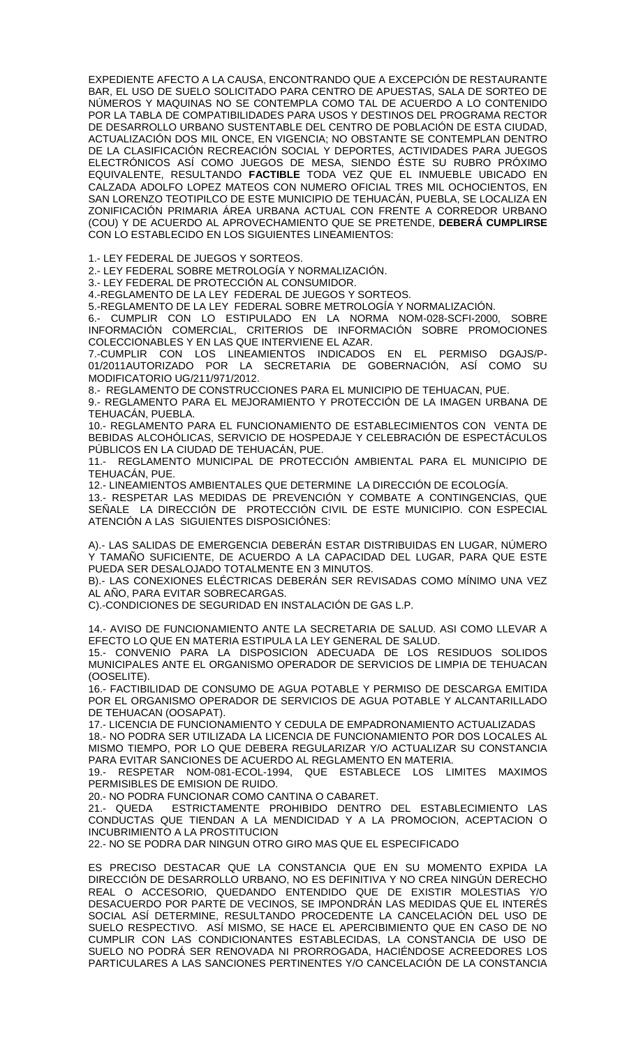EXPEDIENTE AFECTO A LA CAUSA, ENCONTRANDO QUE A EXCEPCIÓN DE RESTAURANTE BAR, EL USO DE SUELO SOLICITADO PARA CENTRO DE APUESTAS, SALA DE SORTEO DE NÚMEROS Y MAQUINAS NO SE CONTEMPLA COMO TAL DE ACUERDO A LO CONTENIDO POR LA TABLA DE COMPATIBILIDADES PARA USOS Y DESTINOS DEL PROGRAMA RECTOR DE DESARROLLO URBANO SUSTENTABLE DEL CENTRO DE POBLACIÓN DE ESTA CIUDAD, ACTUALIZACIÓN DOS MIL ONCE, EN VIGENCIA; NO OBSTANTE SE CONTEMPLAN DENTRO DE LA CLASIFICACIÓN RECREACIÓN SOCIAL Y DEPORTES, ACTIVIDADES PARA JUEGOS ELECTRÓNICOS ASÍ COMO JUEGOS DE MESA, SIENDO ÉSTE SU RUBRO PRÓXIMO EQUIVALENTE, RESULTANDO **FACTIBLE** TODA VEZ QUE EL INMUEBLE UBICADO EN CALZADA ADOLFO LOPEZ MATEOS CON NUMERO OFICIAL TRES MIL OCHOCIENTOS, EN SAN LORENZO TEOTIPILCO DE ESTE MUNICIPIO DE TEHUACÁN, PUEBLA, SE LOCALIZA EN ZONIFICACIÓN PRIMARIA ÁREA URBANA ACTUAL CON FRENTE A CORREDOR URBANO (COU) Y DE ACUERDO AL APROVECHAMIENTO QUE SE PRETENDE, **DEBERÁ CUMPLIRSE** CON LO ESTABLECIDO EN LOS SIGUIENTES LINEAMIENTOS:

1.- LEY FEDERAL DE JUEGOS Y SORTEOS.

2.- LEY FEDERAL SOBRE METROLOGÍA Y NORMALIZACIÓN.

3.- LEY FEDERAL DE PROTECCIÓN AL CONSUMIDOR.

4.-REGLAMENTO DE LA LEY FEDERAL DE JUEGOS Y SORTEOS.

5.-REGLAMENTO DE LA LEY FEDERAL SOBRE METROLOGÍA Y NORMALIZACIÓN.

6.- CUMPLIR CON LO ESTIPULADO EN LA NORMA NOM-028-SCFI-2000, SOBRE INFORMACIÓN COMERCIAL, CRITERIOS DE INFORMACIÓN SOBRE PROMOCIONES COLECCIONABLES Y EN LAS QUE INTERVIENE EL AZAR.

7.-CUMPLIR CON LOS LINEAMIENTOS INDICADOS EN EL PERMISO DGAJS/P-01/2011AUTORIZADO POR LA SECRETARIA DE GOBERNACIÓN, ASÍ COMO SU MODIFICATORIO UG/211/971/2012.

8.- REGLAMENTO DE CONSTRUCCIONES PARA EL MUNICIPIO DE TEHUACAN, PUE. 9.- REGLAMENTO PARA EL MEJORAMIENTO Y PROTECCIÓN DE LA IMAGEN URBANA DE

TEHUACÁN, PUEBLA.

10.- REGLAMENTO PARA EL FUNCIONAMIENTO DE ESTABLECIMIENTOS CON VENTA DE BEBIDAS ALCOHÓLICAS, SERVICIO DE HOSPEDAJE Y CELEBRACIÓN DE ESPECTÁCULOS PÚBLICOS EN LA CIUDAD DE TEHUACÁN, PUE.

11.- REGLAMENTO MUNICIPAL DE PROTECCIÓN AMBIENTAL PARA EL MUNICIPIO DE TEHUACÁN, PUE.

12.- LINEAMIENTOS AMBIENTALES QUE DETERMINE LA DIRECCIÓN DE ECOLOGÍA.

13.- RESPETAR LAS MEDIDAS DE PREVENCIÓN Y COMBATE A CONTINGENCIAS, QUE SEÑALE LA DIRECCIÓN DE PROTECCIÓN CIVIL DE ESTE MUNICIPIO. CON ESPECIAL ATENCIÓN A LAS SIGUIENTES DISPOSICIÓNES:

A).- LAS SALIDAS DE EMERGENCIA DEBERÁN ESTAR DISTRIBUIDAS EN LUGAR, NÚMERO Y TAMAÑO SUFICIENTE, DE ACUERDO A LA CAPACIDAD DEL LUGAR, PARA QUE ESTE PUEDA SER DESALOJADO TOTALMENTE EN 3 MINUTOS.

B).- LAS CONEXIONES ELÉCTRICAS DEBERÁN SER REVISADAS COMO MÍNIMO UNA VEZ AL AÑO, PARA EVITAR SOBRECARGAS.

C).-CONDICIONES DE SEGURIDAD EN INSTALACIÓN DE GAS L.P.

14.- AVISO DE FUNCIONAMIENTO ANTE LA SECRETARIA DE SALUD. ASI COMO LLEVAR A EFECTO LO QUE EN MATERIA ESTIPULA LA LEY GENERAL DE SALUD.

15.- CONVENIO PARA LA DISPOSICION ADECUADA DE LOS RESIDUOS SOLIDOS MUNICIPALES ANTE EL ORGANISMO OPERADOR DE SERVICIOS DE LIMPIA DE TEHUACAN (OOSELITE).

16.- FACTIBILIDAD DE CONSUMO DE AGUA POTABLE Y PERMISO DE DESCARGA EMITIDA POR EL ORGANISMO OPERADOR DE SERVICIOS DE AGUA POTABLE Y ALCANTARILLADO DE TEHUACAN (OOSAPAT).

17.- LICENCIA DE FUNCIONAMIENTO Y CEDULA DE EMPADRONAMIENTO ACTUALIZADAS

18.- NO PODRA SER UTILIZADA LA LICENCIA DE FUNCIONAMIENTO POR DOS LOCALES AL MISMO TIEMPO, POR LO QUE DEBERA REGULARIZAR Y/O ACTUALIZAR SU CONSTANCIA PARA EVITAR SANCIONES DE ACUERDO AL REGLAMENTO EN MATERIA.

19.- RESPETAR NOM-081-ECOL-1994, QUE ESTABLECE LOS LIMITES MAXIMOS PERMISIBLES DE EMISION DE RUIDO.

20.- NO PODRA FUNCIONAR COMO CANTINA O CABARET.

21.- QUEDA ESTRICTAMENTE PROHIBIDO DENTRO DEL ESTABLECIMIENTO LAS CONDUCTAS QUE TIENDAN A LA MENDICIDAD Y A LA PROMOCION, ACEPTACION O INCUBRIMIENTO A LA PROSTITUCION

22.- NO SE PODRA DAR NINGUN OTRO GIRO MAS QUE EL ESPECIFICADO

ES PRECISO DESTACAR QUE LA CONSTANCIA QUE EN SU MOMENTO EXPIDA LA DIRECCIÓN DE DESARROLLO URBANO, NO ES DEFINITIVA Y NO CREA NINGÚN DERECHO REAL O ACCESORIO, QUEDANDO ENTENDIDO QUE DE EXISTIR MOLESTIAS Y/O DESACUERDO POR PARTE DE VECINOS, SE IMPONDRÁN LAS MEDIDAS QUE EL INTERÉS SOCIAL ASÍ DETERMINE, RESULTANDO PROCEDENTE LA CANCELACIÓN DEL USO DE SUELO RESPECTIVO. ASÍ MISMO, SE HACE EL APERCIBIMIENTO QUE EN CASO DE NO CUMPLIR CON LAS CONDICIONANTES ESTABLECIDAS, LA CONSTANCIA DE USO DE SUELO NO PODRÁ SER RENOVADA NI PRORROGADA, HACIÉNDOSE ACREEDORES LOS PARTICULARES A LAS SANCIONES PERTINENTES Y/O CANCELACIÓN DE LA CONSTANCIA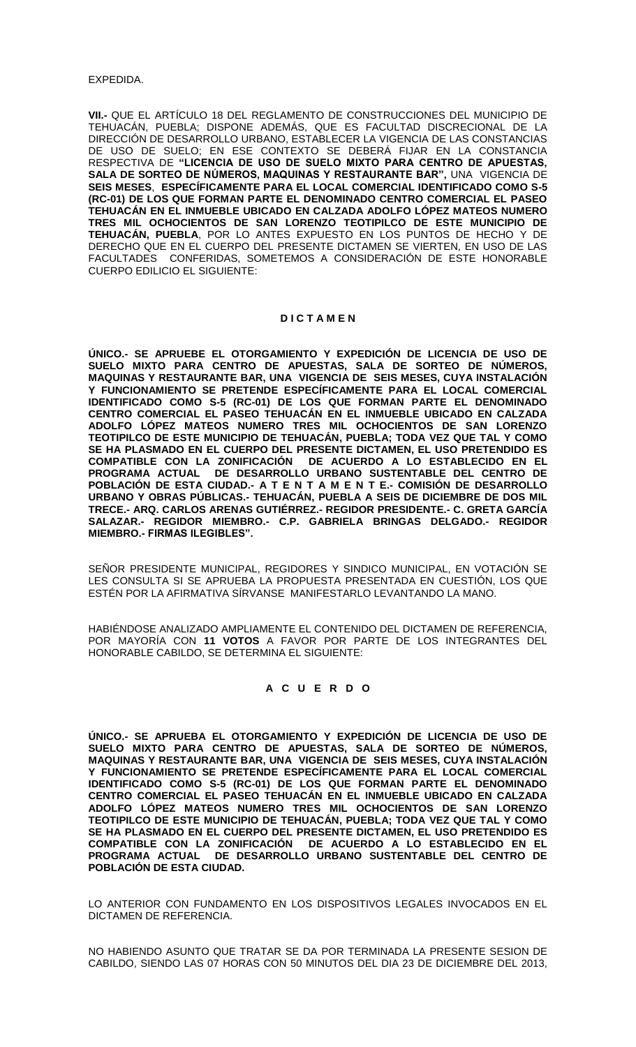**VII.-** QUE EL ARTÍCULO 18 DEL REGLAMENTO DE CONSTRUCCIONES DEL MUNICIPIO DE TEHUACÁN, PUEBLA; DISPONE ADEMÁS, QUE ES FACULTAD DISCRECIONAL DE LA DIRECCIÓN DE DESARROLLO URBANO, ESTABLECER LA VIGENCIA DE LAS CONSTANCIAS DE USO DE SUELO; EN ESE CONTEXTO SE DEBERÁ FIJAR EN LA CONSTANCIA RESPECTIVA DE **"LICENCIA DE USO DE SUELO MIXTO PARA CENTRO DE APUESTAS, SALA DE SORTEO DE NÚMEROS, MAQUINAS Y RESTAURANTE BAR",** UNA VIGENCIA DE **SEIS MESES**, **ESPECÍFICAMENTE PARA EL LOCAL COMERCIAL IDENTIFICADO COMO S-5 (RC-01) DE LOS QUE FORMAN PARTE EL DENOMINADO CENTRO COMERCIAL EL PASEO TEHUACÁN EN EL INMUEBLE UBICADO EN CALZADA ADOLFO LÓPEZ MATEOS NUMERO TRES MIL OCHOCIENTOS DE SAN LORENZO TEOTIPILCO DE ESTE MUNICIPIO DE TEHUACÁN, PUEBLA**, POR LO ANTES EXPUESTO EN LOS PUNTOS DE HECHO Y DE DERECHO QUE EN EL CUERPO DEL PRESENTE DICTAMEN SE VIERTEN, EN USO DE LAS FACULTADES CONFERIDAS, SOMETEMOS A CONSIDERACIÓN DE ESTE HONORABLE CUERPO EDILICIO EL SIGUIENTE:

#### **D I C T A M E N**

**ÚNICO.- SE APRUEBE EL OTORGAMIENTO Y EXPEDICIÓN DE LICENCIA DE USO DE SUELO MIXTO PARA CENTRO DE APUESTAS, SALA DE SORTEO DE NÚMEROS, MAQUINAS Y RESTAURANTE BAR, UNA VIGENCIA DE SEIS MESES, CUYA INSTALACIÓN Y FUNCIONAMIENTO SE PRETENDE ESPECÍFICAMENTE PARA EL LOCAL COMERCIAL IDENTIFICADO COMO S-5 (RC-01) DE LOS QUE FORMAN PARTE EL DENOMINADO CENTRO COMERCIAL EL PASEO TEHUACÁN EN EL INMUEBLE UBICADO EN CALZADA ADOLFO LÓPEZ MATEOS NUMERO TRES MIL OCHOCIENTOS DE SAN LORENZO TEOTIPILCO DE ESTE MUNICIPIO DE TEHUACÁN, PUEBLA; TODA VEZ QUE TAL Y COMO SE HA PLASMADO EN EL CUERPO DEL PRESENTE DICTAMEN, EL USO PRETENDIDO ES COMPATIBLE CON LA ZONIFICACIÓN DE ACUERDO A LO ESTABLECIDO EN EL PROGRAMA ACTUAL DE DESARROLLO URBANO SUSTENTABLE DEL CENTRO DE POBLACIÓN DE ESTA CIUDAD.- A T E N T A M E N T E.- COMISIÓN DE DESARROLLO URBANO Y OBRAS PÚBLICAS.- TEHUACÁN, PUEBLA A SEIS DE DICIEMBRE DE DOS MIL TRECE.- ARQ. CARLOS ARENAS GUTIÉRREZ.- REGIDOR PRESIDENTE.- C. GRETA GARCÍA SALAZAR.- REGIDOR MIEMBRO.- C.P. GABRIELA BRINGAS DELGADO.- REGIDOR MIEMBRO.- FIRMAS ILEGIBLES".**

SEÑOR PRESIDENTE MUNICIPAL, REGIDORES Y SINDICO MUNICIPAL, EN VOTACIÓN SE LES CONSULTA SI SE APRUEBA LA PROPUESTA PRESENTADA EN CUESTIÓN, LOS QUE ESTÉN POR LA AFIRMATIVA SÍRVANSE MANIFESTARLO LEVANTANDO LA MANO.

HABIÉNDOSE ANALIZADO AMPLIAMENTE EL CONTENIDO DEL DICTAMEN DE REFERENCIA, POR MAYORÍA CON **11 VOTOS** A FAVOR POR PARTE DE LOS INTEGRANTES DEL HONORABLE CABILDO, SE DETERMINA EL SIGUIENTE:

# **A C U E R D O**

**ÚNICO.- SE APRUEBA EL OTORGAMIENTO Y EXPEDICIÓN DE LICENCIA DE USO DE SUELO MIXTO PARA CENTRO DE APUESTAS, SALA DE SORTEO DE NÚMEROS, MAQUINAS Y RESTAURANTE BAR, UNA VIGENCIA DE SEIS MESES, CUYA INSTALACIÓN Y FUNCIONAMIENTO SE PRETENDE ESPECÍFICAMENTE PARA EL LOCAL COMERCIAL IDENTIFICADO COMO S-5 (RC-01) DE LOS QUE FORMAN PARTE EL DENOMINADO CENTRO COMERCIAL EL PASEO TEHUACÁN EN EL INMUEBLE UBICADO EN CALZADA ADOLFO LÓPEZ MATEOS NUMERO TRES MIL OCHOCIENTOS DE SAN LORENZO TEOTIPILCO DE ESTE MUNICIPIO DE TEHUACÁN, PUEBLA; TODA VEZ QUE TAL Y COMO SE HA PLASMADO EN EL CUERPO DEL PRESENTE DICTAMEN, EL USO PRETENDIDO ES COMPATIBLE CON LA ZONIFICACIÓN DE ACUERDO A LO ESTABLECIDO EN EL PROGRAMA ACTUAL DE DESARROLLO URBANO SUSTENTABLE DEL CENTRO DE POBLACIÓN DE ESTA CIUDAD.**

LO ANTERIOR CON FUNDAMENTO EN LOS DISPOSITIVOS LEGALES INVOCADOS EN EL DICTAMEN DE REFERENCIA.

NO HABIENDO ASUNTO QUE TRATAR SE DA POR TERMINADA LA PRESENTE SESION DE CABILDO, SIENDO LAS 07 HORAS CON 50 MINUTOS DEL DIA 23 DE DICIEMBRE DEL 2013,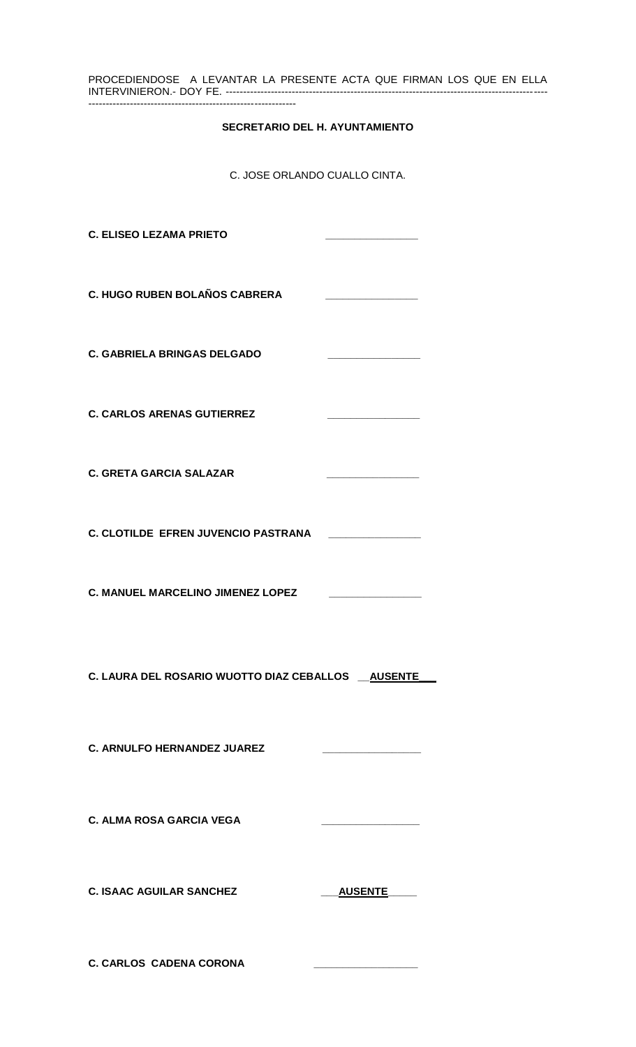| PROCEDIENDOSE A LEVANTAR LA PRESENTE ACTA QUE FIRMAN LOS QUE EN ELLA |         |
|----------------------------------------------------------------------|---------|
| <b>SECRETARIO DEL H. AYUNTAMIENTO</b>                                |         |
| C. JOSE ORLANDO CUALLO CINTA.                                        |         |
| <b>C. ELISEO LEZAMA PRIETO</b>                                       |         |
| C. HUGO RUBEN BOLAÑOS CABRERA                                        |         |
| <b>C. GABRIELA BRINGAS DELGADO</b>                                   |         |
| <b>C. CARLOS ARENAS GUTIERREZ</b>                                    |         |
| <b>C. GRETA GARCIA SALAZAR</b>                                       |         |
| C. CLOTILDE EFREN JUVENCIO PASTRANA                                  |         |
| <b>C. MANUEL MARCELINO JIMENEZ LOPEZ</b>                             |         |
| C. LAURA DEL ROSARIO WUOTTO DIAZ CEBALLOS __ AUSENTE_                |         |
| <b>C. ARNULFO HERNANDEZ JUAREZ</b>                                   |         |
| <b>C. ALMA ROSA GARCIA VEGA</b>                                      |         |
| <b>C. ISAAC AGUILAR SANCHEZ</b>                                      | AUSENTE |
| <b>C. CARLOS CADENA CORONA</b>                                       |         |